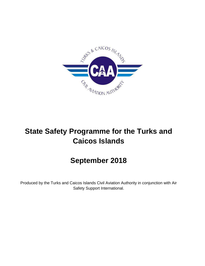

# **State Safety Programme for the Turks and Caicos Islands**

# **September 2018**

Produced by the Turks and Caicos Islands Civil Aviation Authority in conjunction with Air Safety Support International.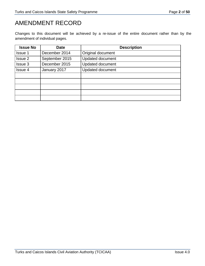## AMENDMENT RECORD

Changes to this document will be achieved by a re-issue of the entire document rather than by the amendment of individual pages.

| <b>Issue No</b> | <b>Date</b>    | <b>Description</b>      |  |  |  |  |  |
|-----------------|----------------|-------------------------|--|--|--|--|--|
| <b>Issue 1</b>  | December 2014  | Original document       |  |  |  |  |  |
| Issue 2         | September 2015 | <b>Updated document</b> |  |  |  |  |  |
| Issue 3         | December 2015  | <b>Updated document</b> |  |  |  |  |  |
| Issue 4         | January 2017   | <b>Updated document</b> |  |  |  |  |  |
|                 |                |                         |  |  |  |  |  |
|                 |                |                         |  |  |  |  |  |
|                 |                |                         |  |  |  |  |  |
|                 |                |                         |  |  |  |  |  |
|                 |                |                         |  |  |  |  |  |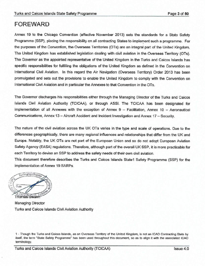### **FOREWARD**

Annex 19 to the Chicago Convention (effective November 2013) sets the standards for a State Safety Programme (SSP), placing the responsibility on all contracting States to implement such a programme. For the purposes of the Convention, the Overseas Territories (OTs) are an integral part of the United Kingdom. The United Kingdom has established legislation dealing with civil aviation in the Overseas Territory (OTs). The Governor as the appointed representative of the United Kingdom in the Turks and Caicos Islands has specific responsibilities for fulfilling the obligations of the United Kingdom as defined in the Convention on International Civil Aviation. In this regard the Air Navigation (Overseas Territory) Order 2013 has been promulgated and sets out the provisions to enable the United Kingdom to comply with the Convention on International Civil Aviation and in particular the Annexes to that Convention in the OTs.

The Governor discharges his responsibilities either through the Managing Director of the Turks and Caicos Islands Civil Aviation Authority (TCICAA), or through ASSI. The TCICAA has been designated for implementation of all Annexes with the exception of Annex 9 - Facilitation, Annex 10 - Aeronautical Communications, Annex 13 - Aircraft Accident and Incident Investigation and Annex 17 - Security.

The nature of the civil aviation across the UK OTs varies in the type and scale of operations. Due to the differences geographically, there are many regional influences and relationships that differ from the UK and Europe. Notably, the UK OTs are not part of the European Union and so do not adopt European Aviation Safety Agency (EASA) regulations. Therefore, although part of the overall UK SSP, it is more practicable for each Territory to devise an SSP to address the safety needs of their own civil aviation.

This document therefore describes the Turks and Caicos Islands State1 Safety Programme (SSP) for the implementation of Annex 19 SARPs.



Managing Director Turks and Caicos Islands Civil Aviation Authority

<sup>1 -</sup> Though the Turks and Caicos Islands, as an Overseas Territory of the United Kingdom, is not an ICAO Contracting State by itself, the term "State Safety Programme" has been used throughout this document, so as to align it with the associated ICAO terminology.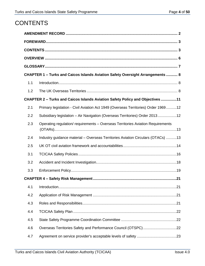## **CONTENTS**

| CHAPTER 1 - Turks and Caicos Islands Aviation Safety Oversight Arrangements  8 |                                                                                   |  |  |  |  |  |  |  |
|--------------------------------------------------------------------------------|-----------------------------------------------------------------------------------|--|--|--|--|--|--|--|
| 1.1                                                                            |                                                                                   |  |  |  |  |  |  |  |
| 1.2                                                                            |                                                                                   |  |  |  |  |  |  |  |
|                                                                                | CHAPTER 2 - Turks and Caicos Islands Aviation Safety Policy and Objectives 11     |  |  |  |  |  |  |  |
| 2.1                                                                            | Primary legislation - Civil Aviation Act 1949 (Overseas Territories) Order 196912 |  |  |  |  |  |  |  |
| 2.2                                                                            | Subsidiary legislation - Air Navigation (Overseas Territories) Order 201312       |  |  |  |  |  |  |  |
| 2.3                                                                            | Operating regulation/ requirements - Overseas Territories Aviation Requirements   |  |  |  |  |  |  |  |
| 2.4                                                                            | Industry guidance material - Overseas Territories Aviation Circulars (OTACs) 13   |  |  |  |  |  |  |  |
| 2.5                                                                            |                                                                                   |  |  |  |  |  |  |  |
| 3.1                                                                            |                                                                                   |  |  |  |  |  |  |  |
| 3.2                                                                            |                                                                                   |  |  |  |  |  |  |  |
| 3.3                                                                            |                                                                                   |  |  |  |  |  |  |  |
|                                                                                |                                                                                   |  |  |  |  |  |  |  |
| 4.1                                                                            |                                                                                   |  |  |  |  |  |  |  |
| 4.2                                                                            |                                                                                   |  |  |  |  |  |  |  |
| 4.3                                                                            |                                                                                   |  |  |  |  |  |  |  |
| 4.4                                                                            |                                                                                   |  |  |  |  |  |  |  |
| 4.5                                                                            |                                                                                   |  |  |  |  |  |  |  |
| 4.6                                                                            |                                                                                   |  |  |  |  |  |  |  |
| 4.7                                                                            |                                                                                   |  |  |  |  |  |  |  |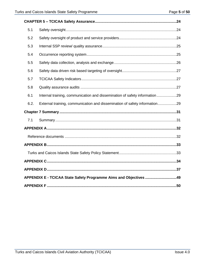| 5.1                                                               |                                                                            |  |  |  |  |  |
|-------------------------------------------------------------------|----------------------------------------------------------------------------|--|--|--|--|--|
| 5.2                                                               |                                                                            |  |  |  |  |  |
| 5.3                                                               |                                                                            |  |  |  |  |  |
| 5.4                                                               |                                                                            |  |  |  |  |  |
| 5.5                                                               |                                                                            |  |  |  |  |  |
| 5.6                                                               |                                                                            |  |  |  |  |  |
| 5.7                                                               |                                                                            |  |  |  |  |  |
| 5.8                                                               |                                                                            |  |  |  |  |  |
| 6.1                                                               | Internal training, communication and dissemination of safety information29 |  |  |  |  |  |
| 6.2.                                                              | External training, communication and dissemination of safety information29 |  |  |  |  |  |
|                                                                   |                                                                            |  |  |  |  |  |
| 7.1                                                               |                                                                            |  |  |  |  |  |
|                                                                   |                                                                            |  |  |  |  |  |
|                                                                   |                                                                            |  |  |  |  |  |
|                                                                   |                                                                            |  |  |  |  |  |
|                                                                   |                                                                            |  |  |  |  |  |
|                                                                   |                                                                            |  |  |  |  |  |
|                                                                   |                                                                            |  |  |  |  |  |
| APPENDIX E - TCICAA State Safety Programme Aims and Objectives 49 |                                                                            |  |  |  |  |  |
|                                                                   |                                                                            |  |  |  |  |  |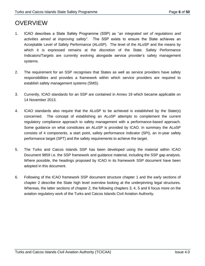## **OVERVIEW**

- 1. ICAO describes a State Safety Programme (SSP) as "*an integrated set of regulations and activities aimed at improving safety*". The SSP exists to ensure the State achieves an Acceptable Level of Safety Performance (ALoSP). The level of the ALoSP and the means by which it is expressed remains at the discretion of the State. Safety Performance Indicators/Targets are currently evolving alongside service provider's safety management systems.
- 2. The requirement for an SSP recognises that States as well as service providers have safety responsibilities and provides a framework within which service providers are required to establish safety management systems (SMS).
- 3. Currently, ICAO standards for an SSP are contained in Annex 19 which became applicable on 14 November 2013.
- 4. ICAO standards also require that the ALoSP to be achieved is established by the State(s) concerned. The concept of establishing an ALoSP attempts to complement the current regulatory compliance approach to safety management with a performance-based approach. Some guidance on what constitutes an ALoSP is provided by ICAO. In summary the ALoSP consists of 4 components, a start point, safety performance indicator (SPI), an in-year safety performance target (SPT) and the safety requirements to achieve the target.
- 5. The Turks and Caicos Islands SSP has been developed using the material within ICAO Document 9859 i.e. the SSP framework and guidance material, including the SSP gap analysis. Where possible, the headings proposed by ICAO in its framework SSP document have been adopted in this document.
- 6. Following of the ICAO framework SSP document structure chapter 1 and the early sections of chapter 2 describe the State high level overview looking at the underpinning legal structures. Whereas, the latter sections of chapter 2, the following chapters 3, 4, 5 and 6 focus more on the aviation regulatory work of the Turks and Caicos Islands Civil Aviation Authority.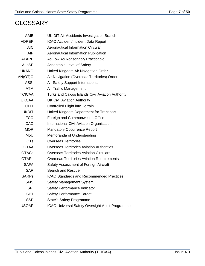## **GLOSSARY**

| AAIB          | UK DfT Air Accidents Investigation Branch         |
|---------------|---------------------------------------------------|
| ADREP         | ICAO Accident/Incident Data Report                |
| <b>AIC</b>    | <b>Aeronautical Information Circular</b>          |
| AIP           | <b>Aeronautical Information Publication</b>       |
| <b>ALARP</b>  | As Low As Reasonably Practicable                  |
| <b>ALoSP</b>  | Acceptable Level of Safety                        |
| <b>UKANO</b>  | United Kingdom Air Navigation Order               |
| AN(OT)O       | Air Navigation (Overseas Territories) Order       |
| <b>ASSI</b>   | Air Safety Support International                  |
| <b>ATM</b>    | Air Traffic Management                            |
| <b>TCICAA</b> | Turks and Caicos Islands Civil Aviation Authority |
| <b>UKCAA</b>  | <b>UK Civil Aviation Authority</b>                |
| <b>CFIT</b>   | <b>Controlled Flight into Terrain</b>             |
| <b>UKDfT</b>  | United Kingdom Department for Transport           |
| <b>FCO</b>    | Foreign and Commonwealth Office                   |
| <b>ICAO</b>   | <b>International Civil Aviation Organisation</b>  |
| <b>MOR</b>    | <b>Mandatory Occurrence Report</b>                |
| MoU           | Memoranda of Understanding                        |
| <b>OTs</b>    | <b>Overseas Territories</b>                       |
| <b>OTAA</b>   | <b>Overseas Territories Aviation Authorities</b>  |
| <b>OTACs</b>  | <b>Overseas Territories Aviation Circulars</b>    |
| <b>OTARs</b>  | <b>Overseas Territories Aviation Requirements</b> |
| <b>SAFA</b>   | Safety Assessment of Foreign Aircraft             |
| <b>SAR</b>    | <b>Search and Rescue</b>                          |
| <b>SARPs</b>  | <b>ICAO Standards and Recommended Practices</b>   |
| <b>SMS</b>    | Safety Management System                          |
| <b>SPI</b>    | Safety Performance Indicator                      |
| <b>SPT</b>    | <b>Safety Performance Target</b>                  |
| <b>SSP</b>    | <b>State's Safety Programme</b>                   |
| <b>USOAP</b>  | ICAO Universal Safety Oversight Audit Programme   |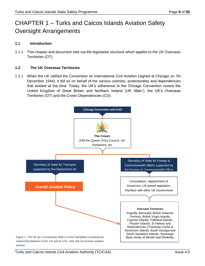## CHAPTER 1 – Turks and Caicos Islands Aviation Safety Oversight Arrangements

### **1.1 Introduction**

1.1.1 This chapter and document sets out the legislative structure which applies to the UK Overseas Territories (OT).

#### **1.2 The UK Overseas Territories**

1.2.1 When the UK ratified the Convention on International Civil Aviation (signed at Chicago on 7th December 1944), it did so on behalf of the various colonies, protectorates and dependencies that existed at the time. Today, the UK's adherence to the Chicago Convention covers the United Kingdom of Great Britain and Northern Ireland (UK 'Main'), the UK's Overseas Territories (OT) and the Crown Dependencies (CD).

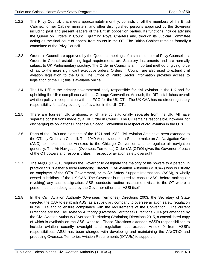- 1.2.2 The Privy Council, that meets approximately monthly, consists of all the members of the British Cabinet, former Cabinet ministers, and other distinguished persons appointed by the Sovereign including past and present leaders of the British opposition parties. Its functions include advising the Queen on Orders in Council, granting Royal Charters and, through its Judicial Committee, acting as the final court of appeal from courts in the OT. The British Cabinet remains formally a committee of the Privy Council.
- 1.2.3 Orders in Council are approved by the Queen at meetings of a small number of Privy Counsellors. Orders in Council establishing legal requirements are Statutory Instruments and are normally subject to UK Parliamentary scrutiny. The Order in Council is an important method of giving force of law to the more significant executive orders. Orders in Council are also used to extend civil aviation legislation to the OTs. The Office of Public Sector Information provides access to legislation of the UK; this is available online.
- 1.2.4 The UK DfT is the primary governmental body responsible for civil aviation in the UK and for upholding the UK's compliance with the Chicago Convention. As such, the DfT establishes overall aviation policy in cooperation with the FCO for the UK OTs. The UK CAA has no direct regulatory responsibility for safety oversight of aviation in the UK OTs.
- 1.2.5 There are fourteen UK territories, which are constitutionally separate from the UK. All have separate constitutions made by a UK Order in Council. The UK remains responsible, however, for discharging its obligations under the Chicago Convention in respect of civil aviation in the OTs.
- 1.2.6 Parts of the 1949 and elements of the 1971 and 1982 Civil Aviation Acts have been extended to the OTs by Orders in Council. The 1949 Act provides for a State to make an Air Navigation Order (ANO) to implement the Annexes to the Chicago Convention and to regulate air navigation generally. The Air Navigation (Overseas Territories) Order (AN(OT)O) gives the Governor of each of the OT powers and responsibilities in respect of aviation safety oversight.
- 1.2.7 The AN(OT)O 2013 requires the Governor to designate the majority of his powers to a person; in practice this is either a local Managing Director, Civil Aviation Authority (MDCAA) who is usually an employee of the OT's Government, or to Air Safety Support International (ASSI), a wholly owned subsidiary of the UK CAA. The Governor is required to consult ASSI before making (or revoking) any such designation. ASSI conducts routine assessment visits to the OT where a person has been designated by the Governor other than ASSI itself.
- 1.2.8 In the Civil Aviation Authority (Overseas Territories) Directions 2003, the Secretary of State directed the CAA to establish ASSI as a subsidiary company to oversee aviation safety regulation in the OTs and to ensure compliance with the requirements of the Convention. The current Directions are the Civil Aviation Authority (Overseas Territories) Directions 2014 (as amended by the Civil Aviation Authority (Overseas Territories) (Variation) Directions 2015, a consolidated copy of which is available on the ASSI website. These Directions extended ASSI's responsibilities to include aviation security oversight and regulation but exclude Annex 9 from ASSI's responsibilities. ASSI has been charged with developing and maintaining the AN(OT)O and producing Overseas Territories Aviation Requirements (OTARs) to support it.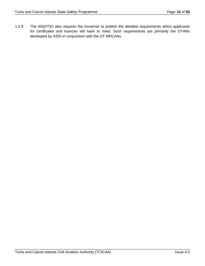1.2.9 The AN(OT)O also requires the Governor to publish the detailed requirements which applicants for certificates and licences will have to meet. Such requirements are primarily the OTARs developed by ASSI in conjunction with the OT MDCAAs.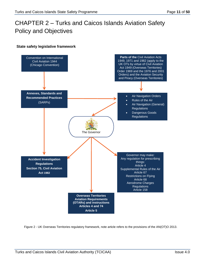## CHAPTER 2 – Turks and Caicos Islands Aviation Safety Policy and Objectives

### **State safety legislative framework**



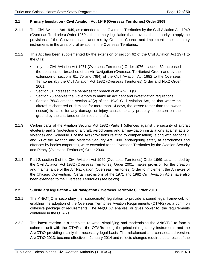#### **2.1 Primary legislation - Civil Aviation Act 1949 (Overseas Territories) Order 1969**

- 2.1.1 The Civil Aviation Act 1949, as extended to the Overseas Territories by the Civil Aviation Act 1949 (Overseas Territories) Order 1969 is the primary legislation that provides the authority to apply the provisions of the Convention and annexes by Order in Council and implement other statutory instruments in the area of civil aviation in the Overseas Territories.
- 2.1.2 This Act has been supplemented by the extension of section 62 of the Civil Aviation Act 1971 to the OTs:
	- (by the Civil Aviation Act 1971 (Overseas Territories) Order 1976 section 62 increased the penalties for breaches of an Air Navigation (Overseas Territories) Order) and by the extension of sections 61, 75 and 76(4) of the Civil Aviation Act 1982 to the Overseas Territories (by the Civil Aviation Act 1982 (Overseas Territories) Order and No.2 Order 2001.
	- Section 61 increased the penalties for breach of an AN(OT)O.
	- Section 75 enables the Governors to make air accident and investigation regulations.
	- Section 76(4) amends section 40(2) of the 1949 Civil Aviation Act, so that where an aircraft is chartered or demised for more than 14 days, the lessee rather than the owner (lessor) is liable for any damage or injury caused to any property or person on the ground by the chartered or demised aircraft).
- 2.1.3 Certain parts of the Aviation Security Act 1982 (Parts 1 (offences against the security of aircraft etcetera) and 2 (protection of aircraft, aerodromes and air navigation installations against acts of violence) and Schedule 1 of the Act (provisions relating to compensation), along with sections 1 and 50 of the Aviation and Maritime Security Act 1990 (endangering safety at aerodromes and offences by bodies corporate), were extended to the Overseas Territories by the Aviation Security and Piracy (Overseas Territories) Order 2000.
- 2.1.4 Part 2, section 8 of the Civil Aviation Act 1949 (Overseas Territories) Order 1969, as amended by the Civil Aviation Act 1982 (Overseas Territories) Order 2001, makes provision for the creation and maintenance of the Air Navigation (Overseas Territories) Order to implement the Annexes of the Chicago Convention. Certain provisions of the 1971 and 1982 Civil Aviation Acts have also been extended to the Overseas Territories (see below).

#### **2.2 Subsidiary legislation – Air Navigation (Overseas Territories) Order 2013**

- 2.2.1 The AN(OT)O is secondary (i.e. subordinate) legislation to provide a sound legal framework for enabling the adoption of the Overseas Territories Aviation Requirements (OTARs) as a common cohesive package of requirements. The AN(OT)O enables, or gives power to, the requirements contained in the OTARs.
- 2.2.2 The latest revision is a complete re-write, simplifying and modernising the AN(OT)O to form a coherent unit with the OTARs - the OTARs being the principal regulatory instruments and the AN(OT)O providing mainly the necessary legal basis. The rebalanced and consolidated version, AN(OT)O 2013, became effective in January 2014 and reflects changes required as a result of the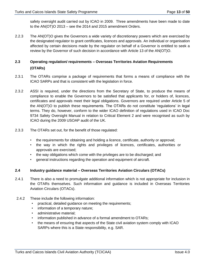safety oversight audit carried out by ICAO in 2009. Three amendments have been made to date to the AN(OT)O 2013 – see the 2014 and 2015 amendment Orders.

2.2.3 The AN(OT)O gives the Governors a wide variety of discretionary powers which are exercised by the designated regulator to grant certificates, licences and approvals. An individual or organisation affected by certain decisions made by the regulator on behalf of a Governor is entitled to seek a review by the Governor of such decision in accordance with Article 13 of the AN(OT)O.

### **2.3 Operating regulation/ requirements – Overseas Territories Aviation Requirements (OTARs)**

- 2.3.1 The OTARs comprise a package of requirements that forms a means of compliance with the ICAO SARPs and that is consistent with the legislation in force.
- 2.3.2 ASSI is required, under the directions from the Secretary of State, to produce the means of compliance to enable the Governors to be satisfied that applicants for, or holders of, licences, certificates and approvals meet their legal obligations. Governors are required under Article 5 of the AN(OT)O to publish these requirements. The OTARs do not constitute 'regulations' in legal terms. They do, however, conform to the wider ICAO definition of regulations used in ICAO Doc 9734 Safety Oversight Manual in relation to Critical Element 2 and were recognised as such by ICAO during the 2009 USOAP audit of the UK.
- 2.3.3 The OTARs set out, for the benefit of those regulated:
	- the requirements for obtaining and holding a licence, certificate, authority or approval;
	- the way in which the rights and privileges of licences, certificates, authorities or approvals are exercised;
	- the way obligations which come with the privileges are to be discharged; and
	- general instructions regarding the operation and equipment of aircraft.

#### **2.4 Industry guidance material – Overseas Territories Aviation Circulars (OTACs)**

- 2.4.1 There is also a need to promulgate additional information which is not appropriate for inclusion in the OTARs themselves. Such information and guidance is included in Overseas Territories Aviation Circulars (OTACs).
- 2.4.2 These include the following information:
	- practical, detailed guidance on meeting the requirements;
	- information of a temporary nature;
	- administrative material;
	- information published in advance of a formal amendment to OTARs;
	- the means of ensuring that aspects of the State civil aviation system comply with ICAO SARPs where this is a State responsibility, e.g. SAR.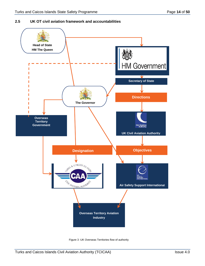#### **2.5 UK OT civil aviation framework and accountabilities**



Figure 3 -UK Overseas Territories flow of authority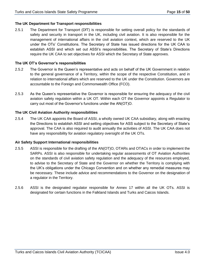#### **The UK Department for Transport responsibilities**

2.5.1 The Department for Transport (DfT) is responsible for setting overall policy for the standards of safety and security in transport in the UK, including civil aviation. It is also responsible for the management of international affairs in the civil aviation context, which are reserved to the UK under the OTs' Constitutions. The Secretary of State has issued directions for the UK CAA to establish ASSI and which set out ASSI's responsibilities. The Secretary of State's Directions require the UK CAA to set objectives for ASSI which the Secretary of State approves.

#### **The UK OT's Governor's responsibilities**

- 2.5.2 The Governor is the Queen's representative and acts on behalf of the UK Government in relation to the general governance of a Territory, within the scope of the respective Constitution, and in relation to international affairs which are reserved to the UK under the Constitution. Governors are accountable to the Foreign and Commonwealth Office (FCO).
- 2.5.3 As the Queen's representative the Governor is responsible for ensuring the adequacy of the civil aviation safety regulation within a UK OT. Within each OT the Governor appoints a Regulator to carry out most of the Governor's functions under the AN(OT)O.

#### **The UK Civil Aviation Authority responsibilities**

2.5.4 The UK CAA appoints the Board of ASSI, a wholly owned UK CAA subsidiary, along with enacting the Directions to establish ASSI and setting objectives for ASS subject to the Secretary of State's approval. The CAA is also required to audit annually the activities of ASSI. The UK CAA does not have any responsibility for aviation regulatory oversight of the UK OTs.

#### **Air Safety Support International responsibilities**

- 2.5.5 ASSI is responsible for the drafting of the AN(OT)O, OTARs and OTACs in order to implement the SARPs. ASSI is also responsible for undertaking regular assessments of OT Aviation Authorities on the standards of civil aviation safety regulation and the adequacy of the resources employed, to advise to the Secretary of State and the Governor on whether the Territory is complying with the UK's obligations under the Chicago Convention and on whether any remedial measures may be necessary. These include advice and recommendations to the Governor on the designation of a regulator in the Territory.
- 2.5.6 ASSI is the designated regulator responsible for Annex 17 within all the UK OTs. ASSI is designated for certain functions in the Falkland Islands and Turks and Caicos Islands.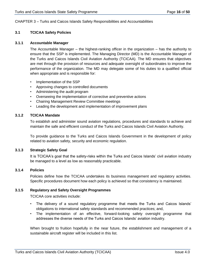#### CHAPTER 3 – Turks and Caicos Islands Safety Responsibilities and Accountabilities

#### **3.1 TCICAA Safety Policies**

#### **3.1.1 Accountable Manager**

The Accountable Manager – the highest-ranking officer in the organization – has the authority to ensure that the SSP is implemented. The Managing Director (MD) is the Accountable Manager of the Turks and Caicos Islands Civil Aviation Authority (TCICAA). The MD ensures that objectives are met through the provision of resources and adequate oversight of subordinates to improve the performance of the organization. The MD may delegate some of his duties to a qualified official when appropriate and is responsible for:

- Implementation of the SSP
- Approving changes to controlled documents
- Administering the audit program
- Overseeing the implementation of corrective and preventive actions
- Chairing Management Review Committee meetings
- Leading the development and implementation of improvement plans

#### **3.1.2 TCICAA Mandate**

To establish and administer sound aviation regulations, procedures and standards to achieve and maintain the safe and efficient conduct of the Turks and Caicos Islands Civil Aviation Authority.

To provide guidance to the Turks and Caicos Islands Government in the development of policy related to aviation safety, security and economic regulation.

#### **3.1.3 Strategic Safety Goal**

It is TCICAA's goal that the safety-risks within the Turks and Caicos Islands' civil aviation industry be managed to a level as low as reasonably practicable.

#### **3.1.4 Policies**

Policies define how the TCICAA undertakes its business management and regulatory activities. Specific procedures document how each policy is achieved so that consistency is maintained.

#### **3.1.5 Regulatory and Safety Oversight Programmes**

TCICAA core activities include:

- The delivery of a sound regulatory programme that meets the Turks and Caicos Islands' obligations to international safety standards and recommended practices; and,
- The implementation of an effective, forward-looking safety oversight programme that addresses the diverse needs of the Turks and Caicos Islands' aviation industry.

When brought to fruition hopefully in the near future, the establishment and management of a sustainable aircraft register will be included in this list.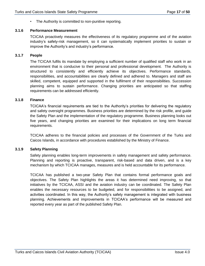• The Authority is committed to non-punitive reporting.

#### **3.1.6 Performance Measurement**

TCICAA proactively measures the effectiveness of its regulatory programme and of the aviation industry's safety-risk management, so it can systematically implement priorities to sustain or improve the Authority's and industry's performance.

#### **3.1.7 People**

The TCICAA fulfils its mandate by employing a sufficient number of qualified staff who work in an environment that is conducive to their personal and professional development. The Authority is structured to consistently and efficiently achieve its objectives. Performance standards, responsibilities, and accountabilities are clearly defined and adhered to. Managers and staff are skilled, competent, equipped and supported in the fulfilment of their responsibilities. Succession planning aims to sustain performance. Changing priorities are anticipated so that staffing requirements can be addressed efficiently.

#### **3.1.8 Finance**

TCICAA's financial requirements are tied to the Authority's priorities for delivering the regulatory and safety oversight programmes. Business priorities are determined by the risk profile, and guide the Safety Plan and the implementation of the regulatory programme. Business planning looks out five years, and changing priorities are examined for their implications on long term financial requirements.

TCICAA adheres to the financial policies and processes of the Government of the Turks and Caicos Islands, in accordance with procedures established by the Ministry of Finance.

#### **3.1.9 Safety Planning**

Safety planning enables long-term improvements in safety management and safety performance. Planning and reporting is proactive, transparent, risk-based and data driven, and is a key mechanism by which TCICAA manages, measures and is held accountable for its performance.

TCICAA has published a two-year Safety Plan that contains formal performance goals and objectives. The Safety Plan highlights the areas it has determined need improving, so that initiatives by the TCICAA, ASSI and the aviation industry can be coordinated. The Safety Plan enables the necessary resources to be budgeted, and for responsibilities to be assigned, and activities coordinated. In this way, the Authority's safety management is integrated with business planning. Achievements and improvements in TCICAA's performance will be measured and reported every year as part of the published Safety Plan.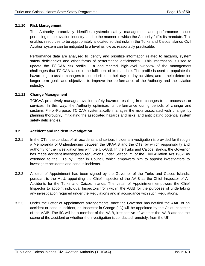#### **3.1.10 Risk Management**

The Authority proactively identifies systemic safety management and performance issues pertaining to the aviation industry, and to the manner in which the Authority fulfils its mandate. This enables resources to be appropriately allocated so that risks in the Turks and Caicos Islands Civil Aviation system can be mitigated to a level as low as reasonably practicable.

Performance data are analysed to identify and prioritize information related to hazards, system safety deficiencies and other forms of performance deficiencies. This information is used to update the TCICAA risk profile − a documented, high-level overview of the management challenges that TCICAA faces in the fulfilment of its mandate. The profile is used to populate the hazard log; to assist managers to set priorities in their day-to-day activities; and to help determine longer-term goals and objectives to improve the performance of the Authority and the aviation industry.

#### **3.1.11 Change Management**

TCICAA proactively manages aviation safety hazards resulting from changes to its processes or services. In this way, the Authority optimises its performance during periods of change and sustains Fit-for-Purpose. TCICAA systematically manages the risks associated with change, by planning thoroughly, mitigating the associated hazards and risks, and anticipating potential system safety deficiencies.

#### **3.2 Accident and Incident Investigation**

- 3.2.1 In the OTs, the conduct of air accidents and serious incidents investigation is provided for through a Memoranda of Understanding between the UKAAIB and the OTs, by which responsibility and authority for the investigation lies with the UKAAIB. In the Turks and Caicos Islands, the Governor has made accident investigation regulations under Section 75 of the Civil Aviation Act 1982, as extended to the OTs by Order in Council, which empowers him to appoint investigators to investigate accidents and serious incidents.
- 3.2.2 A letter of Appointment has been signed by the Governor of the Turks and Caicos Islands, pursuant to the MoU, appointing the Chief Inspector of the AAIB as the Chief Inspector of Air Accidents for the Turks and Caicos Islands. The Letter of Appointment empowers the Chief Inspector to appoint individual Inspectors from within the AAIB for the purposes of undertaking any investigation required under the Regulations and in accordance with such Regulations.
- 3.2.3 Under the Letter of Appointment arrangements, once the Governor has notified the AAIB of an accident or serious incident, an Inspector in Charge (IiC) will be appointed by the Chief Inspector of the AAIB. The IiC will be a member of the AAIB, irrespective of whether the AAIB attends the scene of the accident or whether the investigation is conducted remotely, from the UK.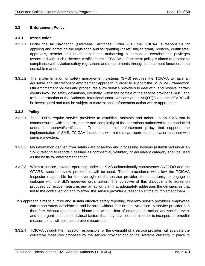#### **3.3 Enforcement Policy**

#### **3.3.1 Introduction**

- 3.3.1.1 Under the Air Navigation (Overseas Territories) Order 2013 the TCICAA is responsible for applying and enforcing the legislation and for granting (or refusing to grant) licences, certificates, approvals, permits and other documents authorising a person to exercise the privileges associated with such a licence, certificate etc. TCICAA enforcement policy is aimed at promoting compliance with aviation safety regulations and requirements through enforcement functions in an equitable manner.
- 3.3.1.2 The implementation of safety management systems (SMS) requires the TCICAA to have an equitable and discretionary enforcement approach in order to support the SSP-SMS framework. Our enforcement policies and procedures allow service providers to deal with, and resolve, certain events involving safety deviations, internally, within the context of the service provider's SMS, and to the satisfaction of the Authority. Intentional contraventions of the AN(OT)O and the OTARS will be investigated and may be subject to conventional enforcement action where appropriate.

#### **3.3.2 Policy**

- 3.3.2.1 The OTARs require service providers to establish, maintain and adhere to an SMS that is commensurate with the size, nature and complexity of the operations authorized to be conducted under its approval/certificate. To maintain this enforcement policy that supports the implementation of SMS, TCICAA Inspectors will maintain an open communication channel with service providers.
- 3.3.2.2 No information derived from safety data collection and processing systems (established under an SMS) relating to reports classified as confidential, voluntary or equivalent category shall be used as the basis for enforcement action.
- 3.3.2.3 When a service provider operating under an SMS unintentionally contravenes AN(OT)O and the OTARS, specific review procedures will be used. These procedures will allow the TCICAA Inspector responsible for the oversight of the service provider, the opportunity to engage in dialogue with the SMS-approved organization. The objective of this dialogue is to agree on proposed corrective measures and an action plan that adequately addresses the deficiencies that led to the contravention and to afford the service provider a reasonable time to implement them.
- This approach aims to nurture and sustain effective safety reporting, whereby service providers' employees can report safety deficiencies and hazards without fear of punitive action. A service provider can therefore, without apportioning blame and without fear of enforcement action, analyse the event and the organizational or individual factors that may have led to it, in order to incorporate remedial measures that will best help prevent recurrence.
- 3.3.2.4 TCICAA through the Inspector responsible for the oversight of a service provider, will evaluate the corrective measures proposed by the service provider and/or the systems currently in place to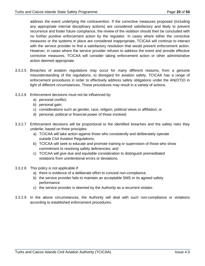address the event underlying the contravention. If the corrective measures proposed (including any appropriate internal disciplinary actions) are considered satisfactory and likely to prevent recurrence and foster future compliance, the review of the violation should then be concluded with no further punitive enforcement action by the regulator. In cases where either the corrective measures or the systems in place are considered inappropriate, TCICAA will continue to interact with the service provider to find a satisfactory resolution that would prevent enforcement action. However, in cases where the service provider refuses to address the event and provide effective corrective measures, TCICAA will consider taking enforcement action or other administrative action deemed appropriate.

- 3.3.2.5 Breaches of aviation regulations may occur for many different reasons, from a genuine misunderstanding of the regulations, to disregard for aviation safety. TCICAA has a range of enforcement procedures in order to effectively address safety obligations under the AN(OT)O in light of different circumstances. These procedures may result in a variety of actions.
- 3.3.2.6 Enforcement decisions must not be influenced by:
	- a) personal conflict;
	- b) personal gain;
	- c) considerations such as gender, race, religion, political views or affiliation; or
	- d) personal, political or financial power of those involved.
- 3.3.2.7 Enforcement decisions will be proportional to the identified breaches and the safety risks they underlie, based on three principles:
	- a) TCICAA will take action against those who consistently and deliberately operate outside Civil Aviation Regulations;
	- b) TCICAA will seek to educate and promote training or supervision of those who show commitment to resolving safety deficiencies; and
	- c) TCICAA will give due and equitable consideration to distinguish premeditated violations from unintentional errors or deviations.
- 3.3.2.8 This policy is not applicable if:
	- a) there is evidence of a deliberate effort to conceal non-compliance.
	- b) the service provider fails to maintain an acceptable SMS or its agreed safety performance
	- c) the service provider is deemed by the Authority as a recurrent violator.
- 3.3.2.9 In the above circumstances, the Authority will deal with such non-compliance or violations according to established enforcement procedures.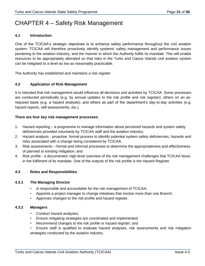## CHAPTER 4 – Safety Risk Management

#### **4.1 Introduction**

One of the TCICAA's strategic objectives is to enhance safety performance throughout the civil aviation system. TCICAA will therefore proactively identify systemic safety management and performance issues pertaining to the aviation industry, and the manner in which the Authority fulfils its mandate. This will enable resources to be appropriately allocated so that risks in the Turks and Caicos Islands civil aviation system can be mitigated to a level as low as reasonably practicable.

The Authority has established and maintains a risk register

#### **4.2 Application of Risk Management**

It is intended that risk management would influence all decisions and activities by TCICAA. Some processes are conducted periodically (e.g. by annual updates to the risk profile and risk register); others on an asrequired basis (e.g. a hazard analysis); and others as part of the department's day-to-day activities (e.g. hazard reports, self-assessments, etc.).

#### **There are four key risk management processes:**

- 1. Hazard reporting a programme to manage information about perceived hazards and system safety deficiencies provided voluntarily by TCICAA staff and the aviation industry;
- 2. Hazard analysis proactive, formal process to identify potential system safety deficiencies, hazards and risks associated with a change being considered by TCICAA;
- 3. Risk assessments formal and informal processes to determine the appropriateness and effectiveness of planned or existing mitigation; and
- 4. Risk profile a documented, high-level overview of the risk management challenges that TCICAA faces in the fulfilment of its mandate. One of the outputs of the risk profile is the Hazard Register.

#### **4.3 Roles and Responsibilities**

#### **4.3.1 The Managing Director**

- Is responsible and accountable for the risk management of TCICAA;
- Appoints a project manager to change initiatives that involve more than one Branch;
- Approves changes to the risk profile and hazard register.

#### **4.3.2 Managers**

- Conduct hazard analyses;
- Ensure mitigating strategies are coordinated and implemented;
- Recommend changes to the risk profile or hazard register; and
- Ensure staff is qualified to evaluate hazard analyses, risk assessments and risk mitigation strategies conducted by the aviation industry.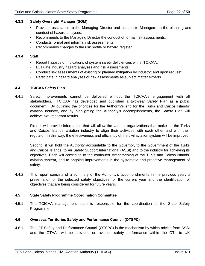### **4.3.3 Safety Oversight Manager (SOM):**

- Provides assistance to the Managing Director and support to Managers on the planning and conduct of hazard analyses;
- Recommends to the Managing Director the conduct of formal risk assessments;
- Conducts formal and informal risk assessments;
- Recommends changes to the risk profile or hazard register.

#### **4.3.4 Staff:**

- Report hazards or indications of system safety deficiencies within TCICAA;
- Evaluate industry hazard analyses and risk assessments;
- Conduct risk assessments of existing or planned mitigation by industry; and upon request
- Participate in hazard analyses or risk assessments as subject matter experts.

### **4.4 TCICAA Safety Plan**

4.4.1 Safety improvements cannot be delivered without the TCICAA's engagement with all stakeholders. TCICAA has developed and published a two-year Safety Plan as a public document. By outlining the priorities for the Authority's and for the Turks and Caicos Islands' aviation industry, and by highlighting the Authority's accomplishments, the Safety Plan will achieve two important results.

First, it will provide information that will allow the various organizations that make up the Turks and Caicos Islands' aviation industry to align their activities with each other and with their regulator. In this way, the effectiveness and efficiency of the civil aviation system will be improved.

Second, it will hold the Authority accountable to the Governor, to the Government of the Turks and Caicos Islands, to Air Safety Support International (ASSI) and to the industry for achieving its objectives. Each will contribute to the continued strengthening of the Turks and Caicos Islands' aviation system, and to ongoing improvements in the systematic and proactive management of safety.

4.4.2 This report consists of a summary of the Authority's accomplishments in the previous year, a presentation of the selected safety objectives for the current year and the identification of objectives that are being considered for future years.

### **4.5 State Safety Programme Coordination Committee**

4.5.1 The TCICAA management team is responsible for the coordination of the State Safety Programme.

### **4.6 Overseas Territories Safety and Performance Council (OTSPC)**

4.6.1 The OT Safety and Performance Council (OTSPC) is the mechanism by which advice from ASSI and the OTAAs will be provided on aviation safety performance within the OTs to UK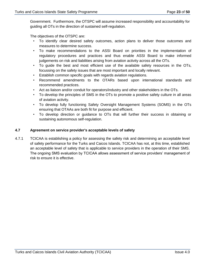Government. Furthermore, the OTSPC will assume increased responsibility and accountability for guiding all OTs in the direction of sustained self-regulation.

The objectives of the OTSPC are:

- To identify clear desired safety outcomes, action plans to deliver those outcomes and measures to determine success.
- To make recommendations to the ASSI Board on priorities in the implementation of regulatory procedures and practices and thus enable ASSI Board to make informed judgements on risk and liabilities arising from aviation activity across all the OTs.
- To guide the best and most efficient use of the available safety resources in the OTs, focussing on the safety issues that are most important and locally relevant.
- Establish common specific goals with regards aviation regulations.
- Recommend amendments to the OTARs based upon international standards and recommended practices.
- Act as liaison and/or conduit for operators/industry and other stakeholders in the OTs.
- To develop the principles of SMS in the OTs to promote a positive safety culture in all areas of aviation activity.
- To develop fully functioning Safety Oversight Management Systems (SOMS) in the OTs ensuring that OTAAs are both fit for purpose and efficient.
- To develop direction or guidance to OTs that will further their success in obtaining or sustaining autonomous self-regulation.

#### **4.7 Agreement on service provider's acceptable levels of safety**

4.7.1 TCICAA is establishing a policy for assessing the safety risk and determining an acceptable level of safety performance for the Turks and Caicos Islands. TCICAA has not, at this time, established an acceptable level of safety that is applicable to service providers in the operation of their SMS. The ongoing SMS evaluation by TCICAA allows assessment of service providers' management of risk to ensure it is effective.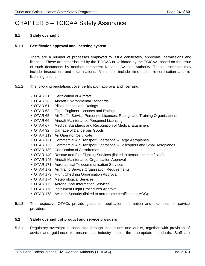## CHAPTER 5 – TCICAA Safety Assurance

#### **5.1 Safety oversight**

#### **5.1.1 Certification approval and licensing system**

There are a number of processes employed to issue certificates, approvals, permissions and licences. These are either issued by the TCICAA or validated by the TCICAA, based on the issue of such documents by another competent National Aviation Authority. These processes may include inspections and examinations. A number include time-based re-certification and relicensing criteria.

- 5.1.2 The following regulations cover certification approval and licensing:
	- OTAR 21 Certification of Aircraft
	- OTAR 36 Aircraft Environmental Standards
	- OTAR 61 Pilot Licences and Ratings
	- OTAR 63 Flight Engineer Licences and Ratings
	- OTAR 65 Air Traffic Service Personnel Licences, Ratings and Training Organisations
	- OTAR 66 Aircraft Maintenance Personnel Licensing
	- OTAR 67 Medical Standards and Recognition of Medical Examiners
	- OTAR 92 Carriage of Dangerous Goods
	- OTAR 119 Air Operator Certificate
	- OTAR 121 Commercial Air Transport Operations Large Aeroplanes
	- OTAR 135 Commercial Air Transport Operations Helicopters and Small Aeroplanes
	- OTAR 139 Certification of Aerodromes
	- OTAR 140 Rescue and Fire Fighting Services (linked to aerodrome certificate)
	- OTAR 145 Aircraft Maintenance Organisation Approval
	- OTAR 171 Aeronautical Telecommunication Services
	- OTAR 172 Air Traffic Service Organisation Requirements
	- OTAR 173 Flight Checking Organisation Approval
	- OTAR 174 Meteorological Services
	- OTAR 175 Aeronautical Information Services
	- OTAR 176 Instrument Flight Procedures Approval
	- OTAR 178 Aviation Security (linked to aerodrome certificate or AOC)
- 5.1.3 The respective OTACs provide guidance, application information and examples for service providers.

#### **5.2 Safety oversight of product and service providers**

5.2.1 Regulatory oversight is conducted through inspections and audits, together with provision of advice and guidance, to ensure that industry meets the appropriate standards. Staff are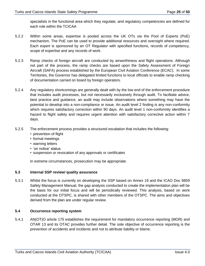specialists in the functional area which they regulate, and regulatory competencies are defined for each role within the TCICAA

- 5.2.2 Within some areas, expertise is pooled across the UK OTs via the Pool of Experts (PoE) mechanism. The PoE can be used to provide additional resources and oversight where required. Each expert is sponsored by an OT Regulator with specified functions, records of competency, scope of expertise and any records of work.
- 5.2.3 Ramp checks of foreign aircraft are conducted by airworthiness and flight operations. Although not part of the process, the ramp checks are based upon the Safety Assessment of Foreign Aircraft (SAFA) process established by the European Civil Aviation Conference (ECAC). In some Territories, the Governor has delegated limited functions to local officials to enable ramp checking of documentation carried on board by foreign operators.
- 5.2.4 Any regulatory shortcomings are generally dealt with by the low end of the enforcement procedure that includes audit processes, but not necessarily exclusively through audit. To facilitate advice, best practice and guidance, an audit may include observations where something may have the potential to develop into a non-compliance or issue. An audit level 2 finding is any non-conformity which requires satisfactory correction within 90 days. An audit level 1 non-conformity identifies a hazard to flight safety and requires urgent attention with satisfactory corrective action within 7 days.
- 5.2.5 The enforcement process provides a structured escalation that includes the following:
	- prevention of flight
	- formal meetings
	- warning letters
	- 'on notice' status
	- suspension or revocation of any approvals or certificates

In extreme circumstances, prosecution may be appropriate.

#### **5.3 Internal SSP review/ quality assurance**

5.3.1 Whilst the focus is currently on developing the SSP based on Annex 19 and the ICAO Doc 9859 Safety Management Manual, the gap analysis conducted to create the implementation plan will be the basis for our initial focus and will be periodically reviewed. This analysis, based on work conducted at the OTSPC, is shared with other members of the OTSPC. The aims and objectives derived from the plan are under regular review.

#### **5.4 Occurrence reporting system**

5.4.1 AN(OT)O article 175 establishes the requirement for mandatory occurrence reporting (MOR) and OTAR 13 and its OTAC provides further detail. The sole objective of occurrence reporting is the prevention of accidents and incidents and not to attribute liability or blame.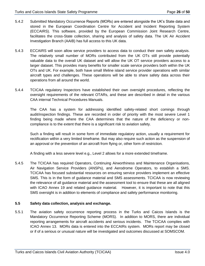- 5.4.2 Submitted Mandatory Occurrence Reports (MORs) are entered alongside the UK's State data and stored in the European Coordination Centre for Accident and Incident Reporting System (ECCAIRS). This software, provided by the European Commission Joint Research Centre, facilitates the cross-State collection, sharing and analysis of safety data. The UK Air Accident Investigation Branch (AAIB) has full access to this UK data.
- 5.4.3 ECCAIRS will soon allow service providers to access data to conduct their own safety analysis. The relatively small number of MORs contributed from the UK OTs still provide potentially valuable data to the overall UK dataset and will allow the UK OT service providers access to a larger dataset. This provides many benefits for smaller scale service providers both within the UK OTs and UK. For example, both have small lifeline island service provider operations with similar aircraft types and challenges. These operations will be able to share safety data across their operations from all around the world.
- 5.4.4 TCICAA regulatory Inspectors have established their own oversight procedures, reflecting the oversight requirements of the relevant OTARs, and these are described in detail in the various CAA internal Technical Procedures Manuals.

The CAA has a system for addressing identified safety-related short comings through audit/inspection findings. These are recorded in order of priority with the most severe Level 1 finding being made where the CAA determines that the nature of the deficiency or noncompliance is to the extent that there is a significant risk to aviation safety.

Such a finding will result in some form of immediate regulatory action, usually a requirement for rectification within a very limited timeframe. But may also require such action as the suspension of an approval or the prevention of an aircraft from flying or, other form of restriction.

A finding with a less severe level e.g., Level 2 allows for a more extended timeframe.

5.4.5 The TCICAA has required Operators, Continuing Airworthiness and Maintenance Organisations, Air Navigation Service Providers (ANSPs), and Aerodrome Operators, to establish a SMS. TCICAA has focused substantial resources on ensuring service providers implement an effective SMS. This is in the form of guidance material and SMS assessments. TCICAA is now reviewing the relevance of all guidance material and the assessment tool to ensure that these are all aligned with ICAO Annex 19 and related guidance material. However, it is important to note that this SMS oversight is in addition to elements of compliance and safety performance monitoring.

### **5.5 Safety data collection, analysis and exchange.**

5.5.1 The aviation safety occurrence reporting process in the Turks and Caicos Islands is the Mandatory Occurrence Reporting Scheme (MORS). In addition to MORS, there are individual reporting arrangements for aircraft accidents and serious incidents. The TCICAA complies with ICAO Annex 13. MORs data is entered into the ECCAIRs system. MORs report may be closed or if of a serious or unusual nature will be investigated and outcomes discussed at SOMSCOM.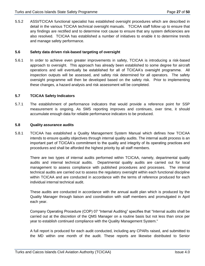5.5.2 ASSI/TCICAA functional specialist has established oversight procedures which are described in detail in the various TCICAA technical oversight manuals. TCICAA staff follow up to ensure that any findings are rectified and to determine root cause to ensure that any system deficiencies are also resolved. TCICAA has established a number of initiatives to enable it to determine trends and manage safety performance.

#### **5.6 Safety data driven risk-based targeting of oversight**

5.6.1 In order to achieve even greater improvements in safety, TCICAA is introducing a risk-based approach to oversight. This approach has already been established to some degree for aircraft operations and will eventually be established for all of TCICAA's oversight programme. All inspection outputs will be assessed, and safety risk determined for all operators. The safety oversight programme will then be developed based on the safety risk. Prior to implementing these changes, a hazard analysis and risk assessment will be completed.

#### **5.7 TCICAA Safety Indicators**

5.7.1 The establishment of performance indicators that would provide a reference point for SSP measurement is ongoing. As SMS reporting improves and continues, over time, it should accumulate enough data for reliable performance indicators to be produced.

#### **5.8 Quality assurance audits**

5.8.1 TCICAA has established a Quality Management System Manual which defines how TCICAA intends to ensure quality objectives through internal quality audits. The internal audit process is an important part of TCICAA's commitment to the quality and integrity of its operating practices and procedures and shall be afforded the highest priority by all staff members.

There are two types of internal audits performed within TCICAA, namely, departmental quality audits and internal technical audits. Departmental quality audits are carried out for local management to assess compliance with published procedures and processes. The internal technical audits are carried out to assess the regulatory oversight within each functional discipline within TCICAA and are conducted in accordance with the terms of reference produced for each individual internal technical audit.

These audits are conducted in accordance with the annual audit plan which is produced by the Quality Manager through liaison and coordination with staff members and promulgated in April each year.

Company Operating Procedure (COP) 07 "Internal Auditing" specifies that "Internal audits shall be carried out at the discretion of the QMS Manager on a routine basis but not less than once per year to establish continued compliance with the Quality Management System."

A full report is produced for each audit conducted, including any CPARs raised, and submitted to the MD within one month of the audit. These reports are likewise distributed to Senior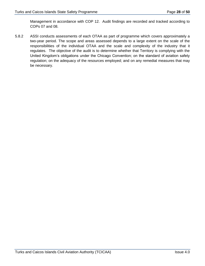Management in accordance with COP 12. Audit findings are recorded and tracked according to COPs 07 and 08.

5.8.2 ASSI conducts assessments of each OTAA as part of programme which covers approximately a two-year period. The scope and areas assessed depends to a large extent on the scale of the responsibilities of the individual OTAA and the scale and complexity of the industry that it regulates. The objective of the audit is to determine whether that Territory is complying with the United Kingdom's obligations under the Chicago Convention; on the standard of aviation safety regulation; on the adequacy of the resources employed; and on any remedial measures that may be necessary.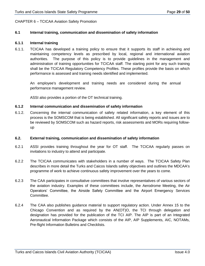#### CHAPTER 6 – TCICAA Aviation Safety Promotion

#### **6.1 Internal training, communication and dissemination of safety information**

#### **6.1.1 Internal training**

6.1.1. TCICAA has developed a training policy to ensure that it supports its staff in achieving and maintaining competency levels as prescribed by local, regional and international aviation authorities. The purpose of this policy is to provide guidelines in the management and administration of training opportunities for TCICAA staff. The starting point for any such training shall be the TCICAA Regulatory Competency Profiles. These profiles provide the basis on which performance is assessed and training needs identified and implemented.

An employee's development and training needs are considered during the annual performance management review.

ASSI also provides a portion of the OT technical training.

#### **6.1.2 Internal communication and dissemination of safety information**

6.1.2. Concerning the internal communication of safety related information, a key element of this process is the SOMSCOM that is being established. All significant safety reports and issues are to be reviewed by SOMSCOM such as hazard reports, risk assessments and MORs requiring followup

#### **6.2. External training, communication and dissemination of safety information**

- 6.2.1 ASSI provides training throughout the year for OT staff. The TCICAA regularly passes on invitations to industry to attend and participate.
- 6.2.2 The TCICAA communicates with stakeholders in a number of ways. The TCICAA Safety Plan describes in more detail the Turks and Caicos Islands safety objectives and outlines the MDCAA's programme of work to achieve continuous safety improvement over the years to come.
- 6.2.3 The CAA participates in consultative committees that involve representatives of various sectors of the aviation industry. Examples of these committees include, the Aerodrome Meeting, the Air Operators' Committee, the Airside Safety Committee and the Airport Emergency Services Committee.
- 6.2.4 The CAA also publishes guidance material to support regulatory action. Under Annex 15 to the Chicago Convention and as required by the AN(OT)O, the TCI through delegation and designation has provided for the publication of the TCI AIP. The AIP is part of an Integrated Aeronautical Information Package which consists of the AIP, AIP Supplements, AIC, NOTAMs, Pre-flight Information Bulletins and Checklists.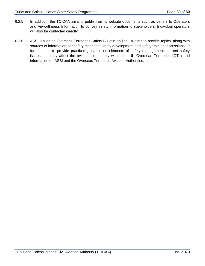- 6.2.5 In addition, the TCICAA aims to publish on its website documents such as Letters to Operators and Airworthiness Information to convey safety information to stakeholders. Individual operators will also be contacted directly.
- 6.2.6 ASSI issues an Overseas Territories Safety Bulletin on-line. It aims to provide topics, along with sources of information, for safety meetings, safety development and safety training discussions. It further aims to provide practical guidance on elements of safety management, current safety issues that may affect the aviation community within the UK Overseas Territories (OTs) and information on ASSI and the Overseas Territories Aviation Authorities.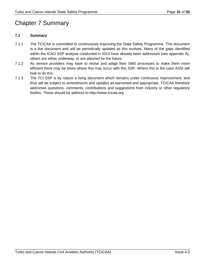## Chapter 7 Summary

### **7.1 Summary**

- 7.1.1 The TCICAA is committed to continuously improving the State Safety Programme. This document is a live document and will be periodically updated as this evolves. Many of the gaps identified within the ICAO SSP analysis conducted in 2013 have already been addressed (see appendix A), others are either underway, or are planned for the future.
- 7.1.2 As service providers may have to revise and adapt their SMS processes to make them more efficient there may be times where this may occur with this SSP. Where this is the case ASSI will look to do this.
- 7.1.3 The TCI SSP is by nature a living document which remains under continuous improvement, and thus will be subject to amendments and updates as warranted and appropriate. TCICAA therefore welcomes questions, comments, contributions and suggestions from industry or other regulatory bodies. These should be address to http://www.tcicaa.org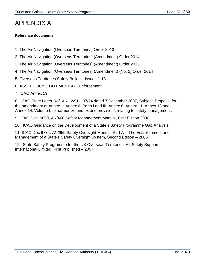## APPENDIX A

#### **Reference documents**

- 1. The Air Navigation (Overseas Territories) Order 2013
- 2. The Air Navigation (Overseas Territories) (Amendment) Order 2014
- 3. The Air Navigation (Overseas Territories) (Amendment) Order 2015
- 4. The Air Navigation (Overseas Territories) (Amendment) (No. 2) Order 2014
- 5. Overseas Territories Safety Bulletin, Issues 1-13
- 6. ASSI POLICY STATEMENT 47 | Enforcement
- 7. ICAO Annex 19

8. ICAO State Letter Ref. AN 12/51‐07/74 dated 7 December 2007, Subject: Proposal for the amendment of Annex 1, Annex 6, Parts I and III, Annex 8, Annex 11, Annex 13 and Annex 14, Volume I, to harmonize and extend provisions relating to safety management.

9. ICAO Doc. 9859, AN/460 Safety Management Manual, First Edition 2006.

10. ICAO Guidance on the Development of a State's Safety Programme Gap Analysis.

11. ICAO Doc 9734, AN/959 Safety Oversight Manual, Part A – The Establishment and Management of a State's Safety Oversight System, Second Edition – 2006.

12. State Safety Programme for the UK Overseas Territories, Air Safety Support International Limited, First Published – 2007.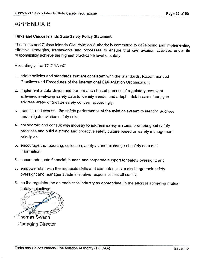## **APPENDIX B**

### Turks and Caicos Islands State Safety Policy Statement

The Turks and Caicos Islands Civil Aviation Authority is committed to developing and implementing effective strategies, frameworks and processes to ensure that civil aviation activities under its responsibilitiy achieve the highest practicable level of safety.

Accordingly, the TCICAA will

- 1. adopt policies and standards that are consistent with the Standards, Recommended Practices and Procedures of the International Civil Aviation Organisation;
- 2. implement a data-driven and performance-based process of regulatory oversight activities, analyzing safety data to identify trends, and adopt a risk-based strategy to address areas of greater safety concern accordingly;
- 3. monitor and assess the safety performance of the aviation system to identify, address and mitigate aviation safety risks;
- 4. collaborate and consult with industry to address safety matters, promote good safety practices and build a strong and proactive safety culture based on safety management principles;
- 5. encourage the reporting, collection, analysis and exchange of safety data and information;
- 6. secure adequate financial, human and corporate support for safety oversight; and
- 7. empower staff with the requesite skills and competencies to discharge their safety oversight and managerial/administrative responsibilities efficiently.
- 8. as the regulator, be an enabler to industry as appropriate, in the effort of achieving mutual safety objectives.

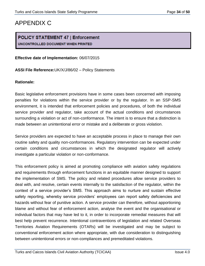## APPENDIX C

### POLICY STATEMENT 47 | Enforcement **UNCONTROLLED DOCUMENT WHEN PRINTED**

**Effective date of Implementation:** 06/07/2015

**ASSI File Reference:**UK/X/J/86/02 – Policy Statements

### **Rationale:**

Basic legislative enforcement provisions have in some cases been concerned with imposing penalties for violations within the service provider or by the regulator. In an SSP-SMS environment, it is intended that enforcement policies and procedures, of both the individual service provider and regulator, take account of the actual conditions and circumstances surrounding a violation or act of non-conformance. The intent is to ensure that a distinction is made between an unintentional error or mistake and a deliberate or gross violation.

Service providers are expected to have an acceptable process in place to manage their own routine safety and quality non-conformances. Regulatory intervention can be expected under certain conditions and circumstances in which the designated regulator will actively investigate a particular violation or non-conformance.

This enforcement policy is aimed at promoting compliance with aviation safety regulations and requirements through enforcement functions in an equitable manner designed to support the implementation of SMS. The policy and related procedures allow service providers to deal with, and resolve, certain events internally to the satisfaction of the regulator, within the context of a service provider's SMS. This approach aims to nurture and sustain effective safety reporting, whereby service providers' employees can report safety deficiencies and hazards without fear of punitive action. A service provider can therefore, without apportioning blame and without fear of enforcement action, analyse the event and the organisational or individual factors that may have led to it, in order to incorporate remedial measures that will best help prevent recurrence. Intentional contraventions of legislation and related Overseas Territories Aviation Requirements (OTARs) will be investigated and may be subject to conventional enforcement action where appropriate, with due consideration to distinguishing between unintentional errors or non-compliances and premeditated violations.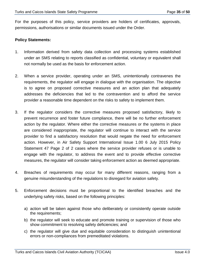For the purposes of this policy, service providers are holders of certificates, approvals, permissions, authorisations or similar documents issued under the Order.

### **Policy Statements:**

- 1. Information derived from safety data collection and processing systems established under an SMS relating to reports classified as confidential, voluntary or equivalent shall not normally be used as the basis for enforcement action.
- 2. When a service provider, operating under an SMS, unintentionally contravenes the requirements, the regulator will engage in dialogue with the organisation. The objective is to agree on proposed corrective measures and an action plan that adequately addresses the deficiencies that led to the contravention and to afford the service provider a reasonable time dependent on the risks to safety to implement them.
- 3. If the regulator considers the corrective measures proposed satisfactory, likely to prevent recurrence and foster future compliance, there will be no further enforcement action by the regulator. Where either the corrective measures or the systems in place are considered inappropriate, the regulator will continue to interact with the service provider to find a satisfactory resolution that would negate the need for enforcement action. However, in Air Safety Support International Issue 1.00 6 July 2015 Policy Statement 47 Page 2 of 2 cases where the service provider refuses or is unable to engage with the regulator, to address the event and to provide effective corrective measures, the regulator will consider taking enforcement action as deemed appropriate.
- 4. Breaches of requirements may occur for many different reasons, ranging from a genuine misunderstanding of the regulations to disregard for aviation safety.
- 5. Enforcement decisions must be proportional to the identified breaches and the underlying safety risks, based on the following principles:
	- a) action will be taken against those who deliberately or consistently operate outside the requirements;
	- b) the regulator will seek to educate and promote training or supervision of those who show commitment to resolving safety deficiencies; and
	- c) the regulator will give due and equitable consideration to distinguish unintentional errors or non-compliances from premeditated violations.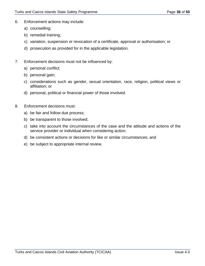- 6. Enforcement actions may include:
	- a) counselling;
	- b) remedial training;
	- c) variation, suspension or revocation of a certificate, approval or authorisation; or
	- d) prosecution as provided for in the applicable legislation.
- 7. Enforcement decisions must not be influenced by:
	- a) personal conflict;
	- b) personal gain;
	- c) considerations such as gender, sexual orientation, race, religion, political views or affiliation; or
	- d) personal, political or financial power of those involved.
- 8. Enforcement decisions must:
	- a) be fair and follow due process;
	- b) be transparent to those involved;
	- c) take into account the circumstances of the case and the attitude and actions of the service provider or individual when considering action;
	- d) be consistent actions or decisions for like or similar circumstances; and
	- e) be subject to appropriate internal review.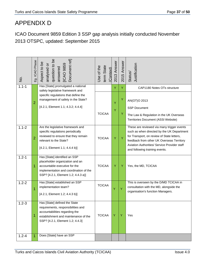## APPENDIX D

ICAO Document 9859 Edition 3 SSP gap analysis initially conducted November 2013 OTSPC, updated: September 2015

| $\overline{5}$ | Eg. ICAO Phase | analysed or<br>question to be<br>Document ref]<br>Aspect to be<br>answered<br>[ICAO 9859                                                                                           | term State<br>Jse of the<br>(Context) | 2013 Answer | 2015 Answer | Justification<br>Status/                                                                                                                                                                                                                                              |
|----------------|----------------|------------------------------------------------------------------------------------------------------------------------------------------------------------------------------------|---------------------------------------|-------------|-------------|-----------------------------------------------------------------------------------------------------------------------------------------------------------------------------------------------------------------------------------------------------------------------|
| $1.1 - 1$      |                | Has [State] promulgated a national<br>safety legislative framework and                                                                                                             |                                       | Y           | Y           | CAP1180 Notes OTs structure                                                                                                                                                                                                                                           |
|                | $\overline{2}$ | specific regulations that define the<br>management of safety in the State?<br>[4.2.1, Element 1.1; 4.3.2; 4.4.4]                                                                   | <b>TCICAA</b>                         | Ÿ<br>Ÿ      | Y<br>Υ      | AN(OT)O 2013<br><b>SSP Document</b><br>The Law & Regulation in the UK Overseas<br>Territories Document (ASSI Website)                                                                                                                                                 |
| $1.1 - 2$      | $\overline{2}$ | Are the legislative framework and<br>specific regulations periodically<br>reviewed to ensure that they remain<br>relevant to the State?<br>$[4.2.1,$ Element 1.1; 4.4.4 b)]        | <b>TCICAA</b>                         | Y           | Y           | These are reviewed via many trigger events<br>such as when directed by the UK Department<br>for Transport, on review of State letters,<br>feedback from other UK Overseas Territory<br>Aviation Authorities/ Service Provider staff<br>and following training events. |
| $1.2 - 1$      | 1              | Has [State] identified an SSP<br>placeholder organization and an<br>accountable executive for the<br>implementation and coordination of the<br>SSP? [4.2.1, Element 1.2; 4.4.3 a)] | <b>TCICAA</b>                         | Y           | Υ           | Yes, the MD, TCICAA                                                                                                                                                                                                                                                   |
| $1.2 - 2$      | 1              | Has [State] established an SSP<br>implementation team?<br>[4.2.1, Element 1.2; 4.4.3 b)]                                                                                           | <b>TCICAA</b>                         | Ý           | Ÿ           | This is overseen by the D/MD TCICAA in<br>consultation with the MD, alongside the<br>organisation's function Managers.                                                                                                                                                |
| $1.2 - 3$      | 1              | Has [State] defined the State<br>requirements, responsibilities and<br>accountabilities regarding the<br>establishment and maintenance of the<br>SSP? [4.2.1, Element 1.2; 4.4.3]  | <b>TCICAA</b>                         | Y           | Y           | Yes                                                                                                                                                                                                                                                                   |
| $1.2 - 4$      | 1              | Does [State] have an SSP                                                                                                                                                           |                                       |             |             |                                                                                                                                                                                                                                                                       |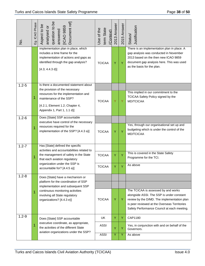| $\frac{1}{2}$ | Eg. ICAO Phase | question to be<br>Document ref]<br>Aspect to be<br>answered<br>[ICAO 9859<br>analysed or                                                                                | term State<br>Use of the<br>(Context) | 2013 Answer | 2015 Answer | Justification<br>Status/                                                                                                                                                                                                       |
|---------------|----------------|-------------------------------------------------------------------------------------------------------------------------------------------------------------------------|---------------------------------------|-------------|-------------|--------------------------------------------------------------------------------------------------------------------------------------------------------------------------------------------------------------------------------|
|               |                | implementation plan in place, which<br>includes a time frame for the<br>implementation of actions and gaps as<br>identified through the gap analysis?<br>[4.3; 4.4.3 d] | <b>TCICAA</b>                         | Y           | Ÿ           | There is an implementation plan in place. A<br>gap analysis was conducted in November<br>2013 based on the then new ICAO 9859<br>document gap analysis here. This was used<br>as the basis for the plan.                       |
| $1.2 - 5$     |                | Is there a documented statement about<br>the provision of the necessary                                                                                                 |                                       |             |             |                                                                                                                                                                                                                                |
|               | 1              | resources for the implementation and<br>maintenance of the SSP?<br>[4.2.1, Element 1.2; Chapter 4,<br>Appendix 1, Part 1, 1.1 d)]                                       | <b>TCICAA</b>                         | Y           | Ÿ           | This implied in our commitment to the<br>TCICAA Safety Policy signed by the<br>MD/TCICAA                                                                                                                                       |
| $1.2 - 6$     |                | Does [State] SSP accountable<br>executive have control of the necessary                                                                                                 |                                       |             |             |                                                                                                                                                                                                                                |
|               | 1              | resources required for the<br>implementation of the SSP? [4.4.3 a)]                                                                                                     | <b>TCICAA</b>                         | Ÿ           | Ÿ           | Yes, through our organisational set up and<br>budgeting which is under the control of the<br>MD/TCICAA                                                                                                                         |
| $1.2 - 7$     |                | Has [State] defined the specific<br>activities and accountabilities related to                                                                                          |                                       |             |             |                                                                                                                                                                                                                                |
|               | 1              | the management of safety in the State<br>that each aviation regulatory                                                                                                  | <b>TCICAA</b>                         | Y           | Y           | This is covered in the State Safety<br>Programme for the TCI.                                                                                                                                                                  |
|               |                | organization under the SSP is<br>accountable for? [4.4.5 a)]                                                                                                            | <b>TCICAA</b>                         | Υ           | Y           | As above                                                                                                                                                                                                                       |
| $1.2 - 8$     |                | Does [State] have a mechanism or<br>platform for the coordination of SSP                                                                                                |                                       |             |             |                                                                                                                                                                                                                                |
|               |                | implementation and subsequent SSP                                                                                                                                       |                                       |             |             |                                                                                                                                                                                                                                |
|               | 1              | continuous monitoring activities<br>involving all State regulatory<br>organizations? [4.4.3 e)]                                                                         | <b>TCICAA</b>                         | Y           | Y           | The TCICAA is assessed by and works<br>alongside ASSI. The SSP is under constant<br>review by the D/MD. The implementation plan<br>is peer reviewed at the Overseas Territories<br>Safety Performance Council at each meeting. |
| $1.2 - 9$     |                | Does [State] SSP accountable                                                                                                                                            | <b>UK</b>                             | Y           | Y           | CAP1180                                                                                                                                                                                                                        |
|               | 1              | executive coordinate, as appropriate,<br>the activities of the different State<br>aviation organizations under the SSP?                                                 | <b>ASSI</b>                           | Y           | Y           | Yes, in conjunction with and on behalf of the<br>Governors.                                                                                                                                                                    |
|               |                |                                                                                                                                                                         | <b>ASSI</b>                           | Y           | Y           | As above                                                                                                                                                                                                                       |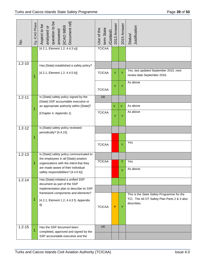| $\overline{5}$ | Eg. ICAO Phase | question to be<br>Document ref]<br>Aspect to be<br>[ICAO 9859<br>analysed or<br>answered | Use of the<br>term State<br>(Context) | 2013 Answer | 2015 Answer | Justification<br>Status/                                                                                 |
|----------------|----------------|------------------------------------------------------------------------------------------|---------------------------------------|-------------|-------------|----------------------------------------------------------------------------------------------------------|
|                |                | $[4.2.1,$ Element 1.2; 4.4.3 a)]                                                         | <b>TCICAA</b>                         |             |             |                                                                                                          |
| $1.2 - 10$     |                | Has [State] established a safety policy?                                                 |                                       |             |             |                                                                                                          |
|                | 1              | [4.2.1, Element 1.2; 4.4.5 b)]                                                           | <b>TCICAA</b>                         | Υ           | Y           | Yes, last updated September 2015, next<br>review date September 2016.                                    |
|                |                |                                                                                          | <b>TCICAA</b>                         | Υ           | Υ           | As above                                                                                                 |
| $1.2 - 11$     |                | Is [State] safety policy signed by the                                                   | <b>UK</b>                             |             |             |                                                                                                          |
|                | 1              | [State] SSP accountable executive or<br>an appropriate authority within [State]?         |                                       | Y           | Y           | As above                                                                                                 |
|                |                | [Chapter 4, Appendix 1]                                                                  | <b>TCICAA</b>                         | Ÿ           | Y           | As above                                                                                                 |
| $1.2 - 12$     |                | Is [State] safety policy reviewed                                                        |                                       |             |             |                                                                                                          |
|                | 1              | periodically? [4.4.15]                                                                   |                                       |             |             |                                                                                                          |
|                |                |                                                                                          | <b>TCICAA</b>                         |             | Ÿ           | Yes                                                                                                      |
| $1.2 - 13$     |                | Is [State] safety policy communicated to<br>the employees in all [State] aviation        |                                       |             |             |                                                                                                          |
|                | 1              | organizations with the intent that they                                                  | <b>TCICAA</b>                         |             | Y           | Yes.                                                                                                     |
|                |                | are made aware of their individual<br>safety responsibilities? [4.4.5 b)]                |                                       |             |             | As above.                                                                                                |
| $1.2 - 14$     |                | Has [State] initiated a unified SSP<br>document as part of the SSP                       |                                       |             |             |                                                                                                          |
|                |                | implementation plan to describe its SSP                                                  |                                       |             |             |                                                                                                          |
|                | 1              | framework components and elements?<br>[4.2.1, Element 1.2; 4.4.3 f); Appendix<br>8]      | <b>TCICAA</b>                         | P           | Y           | This is the State Safety Programme for the<br>TCI. The All OT Safety Plan Parts 2 & 3 also<br>describes. |
| $1.2 - 15$     | 1              | Has the SSP document been                                                                | <b>UK</b>                             |             |             |                                                                                                          |
|                |                | completed, approved and signed by the<br>SSP accountable executive and the               |                                       |             |             |                                                                                                          |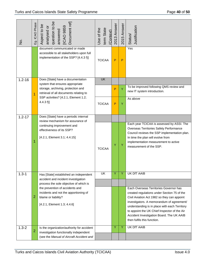| $\frac{1}{2}$ | Eg. ICAO Phase                                                                                                                      | question to be<br>Document ref]<br>Aspect to be<br><b>ICAO 9859</b><br>analysed or<br>answered                     | term State<br>Use of the<br>(Context) | 2013 Answer | 2015 Answer                                                                                                                                                                                                                                                                                                                                                    | Justification<br>Status/                                                                                                                                                                                                                     |
|---------------|-------------------------------------------------------------------------------------------------------------------------------------|--------------------------------------------------------------------------------------------------------------------|---------------------------------------|-------------|----------------------------------------------------------------------------------------------------------------------------------------------------------------------------------------------------------------------------------------------------------------------------------------------------------------------------------------------------------------|----------------------------------------------------------------------------------------------------------------------------------------------------------------------------------------------------------------------------------------------|
|               |                                                                                                                                     | document communicated or made<br>accessible to all stakeholders upon full<br>implementation of the SSP? [4.4.3 f)] | <b>TCICAA</b>                         | P           | $\mathsf{P}$                                                                                                                                                                                                                                                                                                                                                   | Yes                                                                                                                                                                                                                                          |
| $1.2 - 16$    |                                                                                                                                     | Does [State] have a documentation<br>system that ensures appropriate                                               | <b>UK</b>                             |             |                                                                                                                                                                                                                                                                                                                                                                |                                                                                                                                                                                                                                              |
|               | 1                                                                                                                                   | storage, archiving, protection and<br>retrieval of all documents relating to                                       |                                       | P           | Ÿ                                                                                                                                                                                                                                                                                                                                                              | To be improved following QMS review and<br>new IT system introduction.                                                                                                                                                                       |
|               | SSP activities? [4.2.1, Element 1.2;<br>(4.4.3 f)]                                                                                  | <b>TCICAA</b>                                                                                                      | $\mathsf{P}$                          | Y           | As above                                                                                                                                                                                                                                                                                                                                                       |                                                                                                                                                                                                                                              |
| $1.2 - 17$    |                                                                                                                                     | Does [State] have a periodic internal<br>review mechanism for assurance of                                         |                                       |             |                                                                                                                                                                                                                                                                                                                                                                |                                                                                                                                                                                                                                              |
|               | 1                                                                                                                                   | continuing improvement and<br>effectiveness of its SSP?<br>[4.2.1, Element 3.1; 4.4.15]                            | <b>TCICAA</b>                         | Y           | Y                                                                                                                                                                                                                                                                                                                                                              | Each year TCICAA is assessed by ASSI. The<br>Overseas Territories Safety Performance<br>Council reviews the SSP implementation plan.<br>In time the plan will evolve from<br>implementation measurement to active<br>measurement of the SSP. |
| $1.3 - 1$     |                                                                                                                                     | Has [State] established an independent                                                                             | <b>UK</b>                             | Ÿ           | Ÿ                                                                                                                                                                                                                                                                                                                                                              | UK DfT AAIB                                                                                                                                                                                                                                  |
|               |                                                                                                                                     | accident and incident investigation<br>process the sole objective of which is                                      |                                       |             |                                                                                                                                                                                                                                                                                                                                                                |                                                                                                                                                                                                                                              |
|               | the prevention of accidents and<br>incidents and not the apportioning of<br>2<br>blame or liability?<br>[4.2.1, Element 1.3; 4.4.6] |                                                                                                                    |                                       |             | Each Overseas Territories Governor has<br>created regulations under Section 75 of the<br>Civil Aviation Act 1982 so they can appoint<br>investigators. A memorandum of agreement/<br>understanding is in place with each Territory<br>to appoint the UK Chief Inspector of the Air<br>Accident Investigation Board. The UK AAIB<br>then fulfils this function. |                                                                                                                                                                                                                                              |
| $1.3 - 2$     | $\overline{2}$                                                                                                                      | Is the organization/authority for accident<br>investigation functionally independent                               |                                       | Y           | Y                                                                                                                                                                                                                                                                                                                                                              | <b>UK DfT AAIB</b>                                                                                                                                                                                                                           |
|               |                                                                                                                                     | (see the Manual of Aircraft Accident and                                                                           |                                       |             |                                                                                                                                                                                                                                                                                                                                                                |                                                                                                                                                                                                                                              |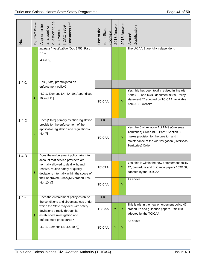| $\frac{1}{2}$ | Eg. ICAO Phase | analysed or<br>question to be<br>Document ref]<br>Aspect to be<br>answered<br>[ICAO 9859                                            | term State<br>Use of the<br>(Context) | 2013 Answer | 2015 Answer | Justification<br>Status/                                                                                                                                                                             |
|---------------|----------------|-------------------------------------------------------------------------------------------------------------------------------------|---------------------------------------|-------------|-------------|------------------------------------------------------------------------------------------------------------------------------------------------------------------------------------------------------|
|               |                | Incident Investigation (Doc 9756, Part I,<br>$2.1$ ?<br>[4.4.6 b]                                                                   |                                       |             |             | The UK AAIB are fully independent.                                                                                                                                                                   |
| $1.4 - 1$     |                | Has [State] promulgated an<br>enforcement policy?                                                                                   |                                       |             |             |                                                                                                                                                                                                      |
|               | $\overline{2}$ | [4.2.1, Element 1.4; 4.4.10; Appendices<br>10 and 11]                                                                               | <b>TCICAA</b>                         |             | Y           | Yes, this has been totally revised in line with<br>Annex 19 and ICAO document 9859. Policy<br>statement 47 adopted by TCICAA, available<br>from ASSI website                                         |
| $1.4 - 2$     |                | Does [State] primary aviation legislation<br>provide for the enforcement of the                                                     | <b>UK</b>                             |             |             |                                                                                                                                                                                                      |
|               | 2              | applicable legislation and regulations?<br>[4.4.7]                                                                                  | <b>TCICAA</b>                         |             | Y           | Yes, the Civil Aviation Act 1949 (Overseas<br>Territories) Order 1969 Part 2 Section 8<br>makes provision for the creation and<br>maintenance of the Air Navigation (Overseas<br>Territories) Order. |
| $1.4 - 3$     |                | Does the enforcement policy take into<br>account that service providers are                                                         |                                       |             |             |                                                                                                                                                                                                      |
|               | 3              | normally allowed to deal with, and<br>resolve, routine safety or quality<br>deviations internally within the scope of               | <b>TCICAA</b>                         |             | Y           | Yes, this is within the new enforcement policy<br>47, procedure and guidance papers 159/160,<br>adopted by the TCICAA.                                                                               |
|               |                | their approved SMS/QMS procedures?<br>[4.4.10a]                                                                                     | <b>TCICAA</b>                         |             | Y           | As above                                                                                                                                                                                             |
| $1.4 - 4$     |                | Does the enforcement policy establish<br>the conditions and circumstances under                                                     | <b>UK</b>                             |             |             |                                                                                                                                                                                                      |
|               | 3              | which the State may deal with safety<br>deviations directly through its<br>established investigation and<br>enforcement procedures? | <b>TCICAA</b>                         | Y           | Y           | This is within the new enforcement policy 47,<br>procedure and guidance papers 159/160,<br>adopted by the TCICAA.                                                                                    |
|               |                | $[4.2.1,$ Element 1.4; 4.4.10 b)]                                                                                                   | <b>TCICAA</b>                         | Y           | Y           | As above                                                                                                                                                                                             |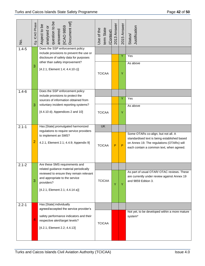| $\overline{5}$ | Eg. ICAO Phase | question to be<br>Document ref]<br>Aspect to be<br>answered<br>[ICAO 9859<br>analysed or                                     | term State<br>Use of the<br>(Context) | 2013 Answer  | 2015 Answer | Justification<br>Status/                                                                                                                                                     |
|----------------|----------------|------------------------------------------------------------------------------------------------------------------------------|---------------------------------------|--------------|-------------|------------------------------------------------------------------------------------------------------------------------------------------------------------------------------|
| $1.4 - 5$      |                | Does the SSP enforcement policy<br>include provisions to prevent the use or                                                  |                                       |              |             |                                                                                                                                                                              |
|                |                | disclosure of safety data for purposes                                                                                       |                                       |              | Ÿ           | Yes                                                                                                                                                                          |
|                | 3              | other than safety improvement?<br>$[4.2.1,$ Element 1.4; 4.4.10 c)]                                                          | <b>TCICAA</b>                         |              | Y           | As above                                                                                                                                                                     |
| $1.4 - 6$      |                | Does the SSP enforcement policy<br>include provisions to protect the                                                         |                                       |              |             |                                                                                                                                                                              |
|                |                | sources of information obtained from                                                                                         |                                       |              | Ÿ           | Yes                                                                                                                                                                          |
|                | 3              | voluntary incident reporting systems?<br>[4.4.10 d); Appendices 2 and 10]                                                    | <b>TCICAA</b>                         |              | Y           | As above                                                                                                                                                                     |
| $2.1 - 1$      |                | Has [State] promulgated harmonized<br>regulations to require service providers                                               | <b>UK</b>                             |              |             |                                                                                                                                                                              |
|                | $\overline{2}$ | to implement an SMS?<br>4.2.1, Element 2.1; 4.4.9; Appendix 9]                                                               | <b>TCICAA</b>                         | $\mathsf{P}$ | P           | Some OTARs co-align, but not all. A<br>standardised text is being established based<br>on Annex 19. The regulations (OTARs) will<br>each contain a common text, when agreed. |
| $2.1 - 2$      |                | Are these SMS requirements and<br>related guidance material periodically                                                     |                                       |              |             |                                                                                                                                                                              |
|                | 3              | reviewed to ensure they remain relevant<br>and appropriate to the service<br>providers?<br>$[4.2.1,$ Element 2.1; 4.4.14 a)] | <b>TCICAA</b>                         | Y            | Y           | As part of usual OTAR/ OTAC reviews. These<br>are currently under review against Annex 19<br>and 9859 Edition 3.                                                             |
| $2.2 - 1$      |                | Has [State] individually<br>agreed/accepted the service provider's                                                           |                                       |              |             |                                                                                                                                                                              |
|                | 4              | safety performance indicators and their<br>respective alert/target levels?<br>[4.2.1, Element 2.2; 4.4.13]                   | <b>TCICAA</b>                         |              |             | Not yet, to be developed within a more mature<br>system*                                                                                                                     |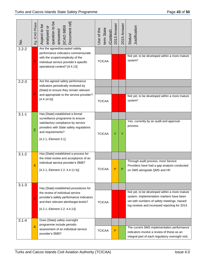| $\overline{5}$ | Eg. ICAO Phase | question to be<br>Document ref]<br>Aspect to be<br>answered<br>[ICAO 9859<br>analysed or                                                                                                           | term State<br>Use of the<br>(Context) | 2013 Answer  | 2015 Answer | Justification<br>Status/                                                                                                                                                                  |
|----------------|----------------|----------------------------------------------------------------------------------------------------------------------------------------------------------------------------------------------------|---------------------------------------|--------------|-------------|-------------------------------------------------------------------------------------------------------------------------------------------------------------------------------------------|
| $2.2 - 2$      | 4              | Are the agreed/accepted safety<br>performance indicators commensurate<br>with the scope/complexity of the<br>individual service provider's specific<br>operational context? [4.4.13]               | <b>TCICAA</b>                         |              |             | Not yet, to be developed within a more mature<br>system*                                                                                                                                  |
| $2.2 - 3$      | 4              | Are the agreed safety performance<br>indicators periodically reviewed by<br>[State] to ensure they remain relevant<br>and appropriate to the service provider?<br>[4.4.14 b]                       | <b>TCICAA</b>                         |              |             | Not yet, to be developed within a more mature<br>system*                                                                                                                                  |
| $3.1 - 1$      | $\overline{2}$ | Has [State] established a formal<br>surveillance programme to ensure<br>satisfactory compliance by service<br>providers with State safety regulations<br>and requirements?<br>[4.2.1, Element 3.1] | <b>TCICAA</b>                         | Ÿ            | Y           | Yes, currently by an audit and approval<br>process.                                                                                                                                       |
| $3.1 - 2$      | 4              | Has [State] established a process for<br>the initial review and acceptance of an<br>individual service provider's SMS?<br>[4.2.1, Element 2.2; 4.4.11 b)]                                          | TCICAA                                | P            | Ρ           | Through audit process, most Service<br>Providers have had a gap analysis conducted<br>on SMS alongside QMS and HF.                                                                        |
| $3.1 - 3$      | 4              | Has [State] established procedures for<br>the review of individual service<br>provider's safety performance indicators<br>and their relevant alert/target levels?<br>[4.2.1, Element 2.2; 4.4.13]  | <b>TCICAA</b>                         |              |             | Not yet, to be developed within a more mature<br>system. Implementation markers have been<br>set with numbers of safety meetings, hazard<br>log reviews and increased reporting for 2014. |
| $3.1 - 4$      | 4              | Does [State] safety oversight<br>programme include periodic<br>assessment of an individual service<br>provider's SMS?                                                                              | <b>TCICAA</b>                         | $\mathsf{P}$ |             | The current SMS implementation performance<br>indicators involve a review of these as an<br>integral part of each regulatory oversight visit.                                             |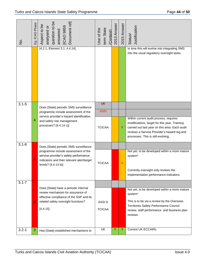| $\frac{1}{2}$ | Eg. ICAO Phase | question to be<br>Document ref<br>Aspect to be<br>ICAO 9859<br>analysed or<br>answered                                                                                   | term State<br>Use of the<br>(Context) | 2013 Answer | 2015 Answer | Justification<br>Status/                                                                                                                                                                                                       |
|---------------|----------------|--------------------------------------------------------------------------------------------------------------------------------------------------------------------------|---------------------------------------|-------------|-------------|--------------------------------------------------------------------------------------------------------------------------------------------------------------------------------------------------------------------------------|
|               |                | $[4.2.1,$ Element 3.1; 4.4.14]                                                                                                                                           |                                       |             |             | In time this will evolve into integrating SMS<br>into the usual regulatory oversight tasks.                                                                                                                                    |
| $3.1 - 5$     |                | Does [State] periodic SMS surveillance                                                                                                                                   | <b>UK</b>                             |             |             |                                                                                                                                                                                                                                |
|               |                | programme include assessment of the<br>service provider's hazard identification                                                                                          | <b>ASSI</b>                           |             |             |                                                                                                                                                                                                                                |
|               | 4              | and safety risk management<br>processes? [4.4.14 c)]                                                                                                                     | <b>TCICAA</b>                         |             | Y           | Within current audit process, requires<br>modifications, target for this year. Training<br>carried out last year on this area. Each audit<br>reviews a Service Provider's hazard log and<br>processes. This is still evolving. |
| $3.1 - 6$     |                | Does [State] periodic SMS surveillance                                                                                                                                   |                                       |             |             |                                                                                                                                                                                                                                |
|               | 4              | programme include assessment of the<br>service provider's safety performance<br>indicators and their relevant alert/target<br>levels? [4.4.14 b)]                        | <b>TCICAA</b>                         |             | ${\sf N}$   | Not yet, to be developed within a more mature<br>system*<br>Currently oversight only reviews the<br>implementation performance indicators.                                                                                     |
| $3.1 - 7$     |                |                                                                                                                                                                          |                                       |             |             |                                                                                                                                                                                                                                |
|               | 4              | Does [State] have a periodic internal<br>review mechanism for assurance of<br>effective compliance of the SSP and its<br>related safety oversight functions?<br>[4.4.15] | ASSI <sub>D</sub><br><b>TCICAA</b>    |             |             | Not yet, to be developed within a more mature<br>system*<br>This is to be via a review by the Overseas<br>Territories Safety Performance Council<br>review, staff performance and business plan<br>reviews.                    |
| $3.2 - 1$     | 3              | Has [State] established mechanisms to                                                                                                                                    | UK                                    | Y           | Y           | <b>Current UK ECCAIRs</b>                                                                                                                                                                                                      |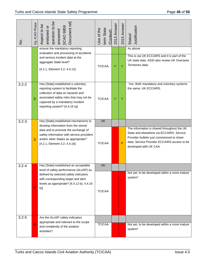| $\frac{1}{2}$ | Eg. ICAO Phase | question to be<br>Document ref]<br>Aspect to be<br>answered<br>[ICAO 9859<br>analysed or                                                                                                                                                | term State<br>Use of the<br>(Context) | 2013 Answer | 2015 Answer | Justification<br>Status/                                                                                                                                                                                      |
|---------------|----------------|-----------------------------------------------------------------------------------------------------------------------------------------------------------------------------------------------------------------------------------------|---------------------------------------|-------------|-------------|---------------------------------------------------------------------------------------------------------------------------------------------------------------------------------------------------------------|
|               |                | ensure the mandatory reporting,<br>evaluation and processing of accidents<br>and serious incident data at the<br>aggregate State level?<br>[4.2.1, Element 3.2; 4.4.12]                                                                 | <b>TCICAA</b>                         | Ÿ           | Y           | As above<br>This is via UK ECCAIRS and it is part of the<br>UK state data. ASSI also review UK Overseas<br>Territories data.                                                                                  |
| $3.2 - 2$     | 3              | Has [State] established a voluntary<br>reporting system to facilitate the<br>collection of data on hazards and<br>associated safety risks that may not be<br>captured by a mandatory incident<br>reporting system? [4.4.16 a)]          | <b>TCICAA</b>                         | Y           | Υ           | Yes. Both mandatory and voluntary systems<br>the same, UK ECCAIRS.                                                                                                                                            |
| $3.2 - 3$     | 3              | Has [State] established mechanisms to<br>develop information from the stored<br>data and to promote the exchange of<br>safety information with service providers<br>and/or other States as appropriate?<br>[4.2.1, Element 3.2; 4.4.16] | <b>UK</b><br><b>TCICAA</b>            |             | P           | The information is shared throughout the UK<br>State and elsewhere via ECCAIRS. Service<br>Provider bulletin just commenced to share<br>data. Service Provider ECCAIRS access to be<br>developed with UK CAA. |
| $3.2 - 4$     | 4              | Has [State] established an acceptable<br>level of safety performance (ALoSP) as<br>defined by selected safety indicators<br>with corresponding target and alert<br>levels as appropriate? [4.4.12 b); 4.4.16<br>$b)$ ]                  | <b>UK</b><br><b>TCICAA</b>            |             |             | Not yet, to be developed within a more mature<br>system*                                                                                                                                                      |
| $3.2 - 5$     | 4              | Are the ALoSP safety indicators<br>appropriate and relevant to the scope<br>and complexity of the aviation<br>activities?                                                                                                               | <b>TCICAA</b>                         |             |             | Not yet, to be developed within a more mature<br>system*                                                                                                                                                      |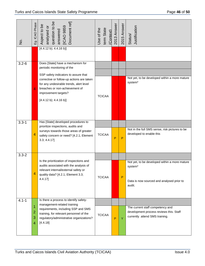| $\frac{1}{2}$ | Eg. ICAO Phase   | analysed or<br>question to be<br>Document ref]<br>Aspect to be<br>answered<br>[ICAO 9859                                                                                                                        | term State<br>Use of the<br>(Context) | 2013 Answer | 2015 Answer  | Justification<br>Status/                                                                                        |
|---------------|------------------|-----------------------------------------------------------------------------------------------------------------------------------------------------------------------------------------------------------------|---------------------------------------|-------------|--------------|-----------------------------------------------------------------------------------------------------------------|
|               |                  | [4.4.12 b); 4.4.16 b]                                                                                                                                                                                           |                                       |             |              |                                                                                                                 |
| $3.2 - 6$     |                  | Does [State] have a mechanism for<br>periodic monitoring of the                                                                                                                                                 |                                       |             |              |                                                                                                                 |
|               | 4                | SSP safety indicators to assure that<br>corrective or follow-up actions are taken<br>for any undesirable trends, alert level<br>breaches or non-achievement of<br>improvement targets?<br>[4.4.12 b); 4.4.16 b] | <b>TCICAA</b>                         |             |              | Not yet, to be developed within a more mature<br>system*                                                        |
|               |                  |                                                                                                                                                                                                                 |                                       |             |              |                                                                                                                 |
| $3.3 - 1$     |                  | Has [State] developed procedures to<br>prioritize inspections, audits and                                                                                                                                       |                                       |             |              |                                                                                                                 |
|               | 4                | surveys towards those areas of greater<br>safety concern or need? [4.2.1, Element<br>3.3; 4.4.17]                                                                                                               | <b>TCICAA</b>                         | P           | $\mathsf{P}$ | Not in the full SMS sense, risk pictures to be<br>developed to enable this                                      |
| $3.3 - 2$     |                  |                                                                                                                                                                                                                 |                                       |             |              |                                                                                                                 |
|               | 4                | Is the prioritization of inspections and<br>audits associated with the analysis of<br>relevant internal/external safety or<br>quality data? [4.2.1, Element 3.3;<br>4.4.17                                      | <b>TCICAA</b>                         |             | P            | Not yet, to be developed within a more mature<br>system*<br>Data is now sourced and analysed prior to<br>audit. |
| $4.1 - 1$     |                  | Is there a process to identify safety-<br>management-related training<br>requirements, including SSP and SMS<br>training, for relevant personnel of the<br>regulatory/administrative organizations?<br>[4.4.18] |                                       |             |              |                                                                                                                 |
|               | 1<br>2<br>3<br>4 |                                                                                                                                                                                                                 | <b>TCICAA</b>                         | P           | Y            | The current staff competency and<br>development process reviews this. Staff<br>currently attend SMS training.   |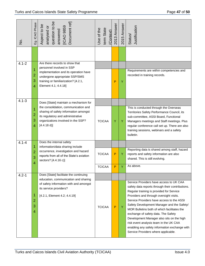| $\frac{1}{2}$ | Eg. ICAO Phase                         | question to be<br>Document ref]<br>Aspect to be<br>answered<br>[ICAO 9859<br>analysed or                                                                                                                        | term State<br>Use of the<br>(Context) | 2013 Answer  | 2015 Answer | Justification<br>Status/                                                                                                                                                                                                                                                                                                                                                                                                                                                                                                                           |
|---------------|----------------------------------------|-----------------------------------------------------------------------------------------------------------------------------------------------------------------------------------------------------------------|---------------------------------------|--------------|-------------|----------------------------------------------------------------------------------------------------------------------------------------------------------------------------------------------------------------------------------------------------------------------------------------------------------------------------------------------------------------------------------------------------------------------------------------------------------------------------------------------------------------------------------------------------|
| $4.1 - 2$     | 1<br>$\overline{2}$<br>3               | Are there records to show that<br>personnel involved in SSP<br>implementation and its operation have<br>undergone appropriate SSP/SMS<br>training or familiarization? [4.2.1,                                   |                                       | P            | Υ           | Requirements are within competencies and<br>recorded in training records.                                                                                                                                                                                                                                                                                                                                                                                                                                                                          |
| $4.1 - 3$     | $\overline{4}$                         | Element 4.1; 4.4.18]                                                                                                                                                                                            |                                       |              |             |                                                                                                                                                                                                                                                                                                                                                                                                                                                                                                                                                    |
|               | 1<br>2<br>3<br>$\overline{4}$          | Does [State] maintain a mechanism for<br>the consolidation, communication and<br>sharing of safety information amongst<br>its regulatory and administrative<br>organizations involved in the SSP?<br>[4.4.18 d] | <b>TCICAA</b>                         | Y            | Y           | This is conducted through the Overseas<br>Territories Safety Performance Council, its<br>sub-committee, ASSI Board, Functional<br>Managers meetings and Staff meetings. Plus<br>regular conference call set up. There are also<br>training sessions, webinars and a safety<br>bulletin.                                                                                                                                                                                                                                                            |
| $4.1 - 4$     | 1                                      | Does the internal safety                                                                                                                                                                                        |                                       |              |             |                                                                                                                                                                                                                                                                                                                                                                                                                                                                                                                                                    |
|               | 2<br>3<br>$\overline{4}$               | information/data sharing include<br>occurrence, investigation and hazard<br>reports from all of the State's aviation<br>sectors? [4.4.16 c)]                                                                    | <b>TCICAA</b>                         | $\mathsf{P}$ | Y           | Reporting data is shared among staff, hazard<br>reports and safety information are also<br>shared. This is still evolving.                                                                                                                                                                                                                                                                                                                                                                                                                         |
|               |                                        | <b>TCICAA</b>                                                                                                                                                                                                   | P                                     | Y            | As above.   |                                                                                                                                                                                                                                                                                                                                                                                                                                                                                                                                                    |
| $4.2 - 1$     | Does [State] facilitate the continuing |                                                                                                                                                                                                                 |                                       |              |             |                                                                                                                                                                                                                                                                                                                                                                                                                                                                                                                                                    |
|               | 1<br>2<br>3<br>4                       | education, communication and sharing<br>of safety information with and amongst<br>its service providers?<br>[4.2.1, Element 4.2; 4.4.19]                                                                        | <b>TCICAA</b>                         | P            | Y           | Service Providers have access to UK CAA<br>safety data reports through their contributions.<br>Regular training is provided for Service<br>Providers and through oversight visits.<br>Service Providers have access to the ASSI<br>Safety Development Manager and the Safety/<br>MOR Bulletins both of which facilitates the<br>exchange of safety data. The Safety<br>Development Manager also sits on the high<br>risk event analysis team in the UK CAA<br>enabling any safety information exchange with<br>Service Providers where applicable. |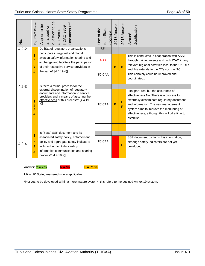| $\frac{1}{2}$ | Eg. ICAO Phase                             | analysed or<br>question to be<br>Document ref]<br>Aspect to be<br>answered<br>[ICAO 9859                                                                                                                                               | term State<br>Jse of the<br>(Context)     | 2013 Answer  | 2015 Answer       | Justification<br>Status/                                                                                                                                                                                                                                                         |
|---------------|--------------------------------------------|----------------------------------------------------------------------------------------------------------------------------------------------------------------------------------------------------------------------------------------|-------------------------------------------|--------------|-------------------|----------------------------------------------------------------------------------------------------------------------------------------------------------------------------------------------------------------------------------------------------------------------------------|
| $4.2 - 2$     | 1<br>$\overline{2}$<br>3<br>4              | Do [State] regulatory organizations<br>participate in regional and global<br>aviation safety information sharing and<br>exchange and facilitate the participation<br>of their respective service providers in<br>the same? [4.4.19 d)] | <b>UK</b><br><b>ASSI</b><br><b>TCICAA</b> | P            | $\overline{P}$    | This is conducted in cooperation with ASSI<br>through training events and with ICAO in any<br>relevant regional activities local to the UK OTs<br>and this extends to the OTs such as TCI.<br>This certainly could be improved and<br>coordinated                                |
| $4.2 - 3$     | $\overline{1}$<br>$\overline{2}$<br>3<br>4 | Is there a formal process for the<br>external dissemination of regulatory<br>documents and information to service<br>providers and a means of assuring the<br>effectiveness of this process? [4.4.19<br>$a)$ ]                         | <b>TCICAA</b>                             | $\mathsf{P}$ | $\mathsf{P}$<br>P | First part Yes, but the assurance of<br>effectiveness No. There is a process to<br>externally disseminate regulatory document<br>and information. The new management<br>system aims to improve the monitoring of<br>effectiveness, although this will take time to<br>establish. |
| $4.2 - 4$     | $\overline{2}$<br>3<br>4                   | Is [State] SSP document and its<br>associated safety policy, enforcement<br>policy and aggregate safety indicators<br>included in the State's safety<br>information communication and sharing<br>process? [4.4.19 a)]                  | <b>TCICAA</b>                             |              | P                 | SSP document contains this information,<br>although safety indicators are not yet<br>developed.                                                                                                                                                                                  |

Answer:  $Y = Yes$   $N = No$   $P = Partial$ 



**UK** – UK State, answered where applicable

\*Not yet, to be developed within a more mature system\*, this refers to the outlined Annex 19 system.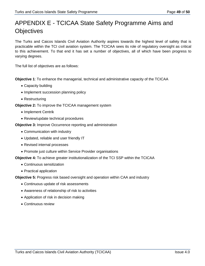## APPENDIX E - TCICAA State Safety Programme Aims and **Objectives**

The Turks and Caicos Islands Civil Aviation Authority aspires towards the highest level of safety that is practicable within the TCI civil aviation system. The TCICAA sees its role of regulatory oversight as critical to this achievement. To that end it has set a number of objectives, all of which have been progress to varying degrees.

The full list of objectives are as follows:

**Objective 1**: To enhance the managerial, technical and administrative capacity of the TCICAA

- Capacity building
- Implement succession planning policy
- Restructuring

**Objective 2:** To improve the TCICAA management system

- Implement Centrik
- Review/update technical procedures
- **Objective 3:** Improve Occurrence reporting and administration
	- Communication with industry
	- Updated, reliable and user friendly IT
	- Revised internal processes
	- Promote just culture within Service Provider organisations

**Objective 4:** To achieve greater institutionalization of the TCI SSP within the TCICAA

- Continuous sensitization
- Practical application

**Objective 5:** Progress risk based oversight and operation within CAA and industry

- Continuous update of risk assessments
- Awareness of relationship of risk to activities
- Application of risk in decision making
- Continuous review